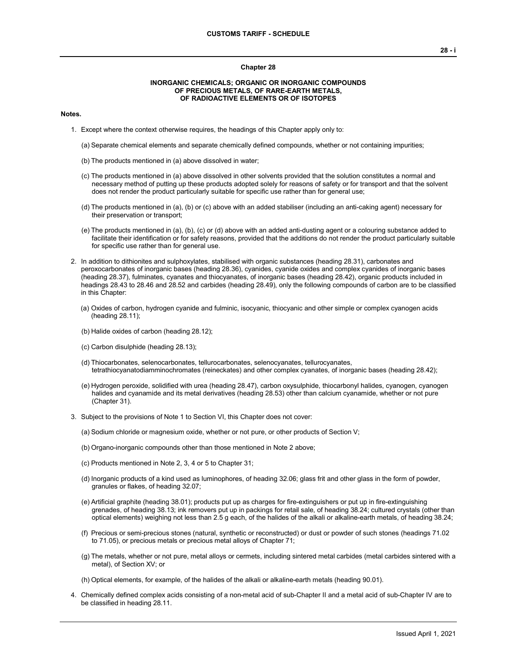#### **Chapter 28**

### **INORGANIC CHEMICALS; ORGANIC OR INORGANIC COMPOUNDS OF PRECIOUS METALS, OF RARE-EARTH METALS, OF RADIOACTIVE ELEMENTS OR OF ISOTOPES**

### **Notes.**

- 1. Except where the context otherwise requires, the headings of this Chapter apply only to:
	- (a) Separate chemical elements and separate chemically defined compounds, whether or not containing impurities;
	- (b) The products mentioned in (a) above dissolved in water;
	- (c) The products mentioned in (a) above dissolved in other solvents provided that the solution constitutes a normal and necessary method of putting up these products adopted solely for reasons of safety or for transport and that the solvent does not render the product particularly suitable for specific use rather than for general use;
	- (d) The products mentioned in (a), (b) or (c) above with an added stabiliser (including an anti-caking agent) necessary for their preservation or transport;
	- (e) The products mentioned in (a), (b), (c) or (d) above with an added anti-dusting agent or a colouring substance added to facilitate their identification or for safety reasons, provided that the additions do not render the product particularly suitable for specific use rather than for general use.
- 2. In addition to dithionites and sulphoxylates, stabilised with organic substances (heading 28.31), carbonates and peroxocarbonates of inorganic bases (heading 28.36), cyanides, cyanide oxides and complex cyanides of inorganic bases (heading 28.37), fulminates, cyanates and thiocyanates, of inorganic bases (heading 28.42), organic products included in headings 28.43 to 28.46 and 28.52 and carbides (heading 28.49), only the following compounds of carbon are to be classified in this Chapter:
	- (a) Oxides of carbon, hydrogen cyanide and fulminic, isocyanic, thiocyanic and other simple or complex cyanogen acids (heading 28.11);
	- (b) Halide oxides of carbon (heading 28.12);
	- (c) Carbon disulphide (heading 28.13);
	- (d) Thiocarbonates, selenocarbonates, tellurocarbonates, selenocyanates, tellurocyanates, tetrathiocyanatodiamminochromates (reineckates) and other complex cyanates, of inorganic bases (heading 28.42);
	- (e) Hydrogen peroxide, solidified with urea (heading 28.47), carbon oxysulphide, thiocarbonyl halides, cyanogen, cyanogen halides and cyanamide and its metal derivatives (heading 28.53) other than calcium cyanamide, whether or not pure (Chapter 31).
- 3. Subject to the provisions of Note 1 to Section VI, this Chapter does not cover:
	- (a) Sodium chloride or magnesium oxide, whether or not pure, or other products of Section V;
	- (b) Organo-inorganic compounds other than those mentioned in Note 2 above;
	- (c) Products mentioned in Note 2, 3, 4 or 5 to Chapter 31;
	- (d) Inorganic products of a kind used as luminophores, of heading 32.06; glass frit and other glass in the form of powder, granules or flakes, of heading 32.07;
	- (e) Artificial graphite (heading 38.01); products put up as charges for fire-extinguishers or put up in fire-extinguishing grenades, of heading 38.13; ink removers put up in packings for retail sale, of heading 38.24; cultured crystals (other than optical elements) weighing not less than 2.5 g each, of the halides of the alkali or alkaline-earth metals, of heading 38.24;
	- (f) Precious or semi-precious stones (natural, synthetic or reconstructed) or dust or powder of such stones (headings 71.02 to 71.05), or precious metals or precious metal alloys of Chapter 71;
	- (g) The metals, whether or not pure, metal alloys or cermets, including sintered metal carbides (metal carbides sintered with a metal), of Section XV; or

(h) Optical elements, for example, of the halides of the alkali or alkaline-earth metals (heading 90.01).

4. Chemically defined complex acids consisting of a non-metal acid of sub-Chapter II and a metal acid of sub-Chapter IV are to be classified in heading 28.11.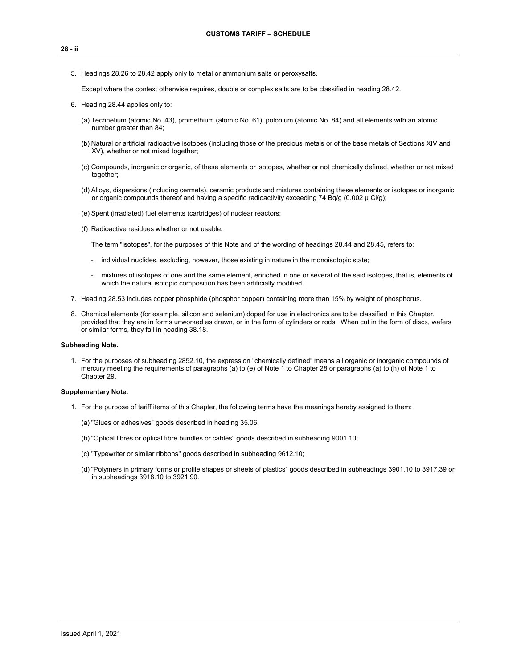- **28 - ii**
	- 5. Headings 28.26 to 28.42 apply only to metal or ammonium salts or peroxysalts.

Except where the context otherwise requires, double or complex salts are to be classified in heading 28.42.

- 6. Heading 28.44 applies only to:
	- (a) Technetium (atomic No. 43), promethium (atomic No. 61), polonium (atomic No. 84) and all elements with an atomic number greater than 84;
	- (b) Natural or artificial radioactive isotopes (including those of the precious metals or of the base metals of Sections XIV and XV), whether or not mixed together;
	- (c) Compounds, inorganic or organic, of these elements or isotopes, whether or not chemically defined, whether or not mixed together;
	- (d) Alloys, dispersions (including cermets), ceramic products and mixtures containing these elements or isotopes or inorganic or organic compounds thereof and having a specific radioactivity exceeding 74 Bq/g (0.002  $\mu$  Ci/g);
	- (e) Spent (irradiated) fuel elements (cartridges) of nuclear reactors;
	- (f) Radioactive residues whether or not usable.

The term "isotopes", for the purposes of this Note and of the wording of headings 28.44 and 28.45, refers to:

- individual nuclides, excluding, however, those existing in nature in the monoisotopic state;
- mixtures of isotopes of one and the same element, enriched in one or several of the said isotopes, that is, elements of which the natural isotopic composition has been artificially modified.
- 7. Heading 28.53 includes copper phosphide (phosphor copper) containing more than 15% by weight of phosphorus.
- 8. Chemical elements (for example, silicon and selenium) doped for use in electronics are to be classified in this Chapter, provided that they are in forms unworked as drawn, or in the form of cylinders or rods. When cut in the form of discs, wafers or similar forms, they fall in heading 38.18.

#### **Subheading Note.**

1. For the purposes of subheading 2852.10, the expression "chemically defined" means all organic or inorganic compounds of mercury meeting the requirements of paragraphs (a) to (e) of Note 1 to Chapter 28 or paragraphs (a) to (h) of Note 1 to Chapter 29.

#### **Supplementary Note.**

- 1. For the purpose of tariff items of this Chapter, the following terms have the meanings hereby assigned to them:
	- (a) "Glues or adhesives" goods described in heading 35.06;
	- (b) "Optical fibres or optical fibre bundles or cables" goods described in subheading 9001.10;
	- (c) "Typewriter or similar ribbons" goods described in subheading 9612.10;
	- (d) "Polymers in primary forms or profile shapes or sheets of plastics" goods described in subheadings 3901.10 to 3917.39 or in subheadings 3918.10 to 3921.90.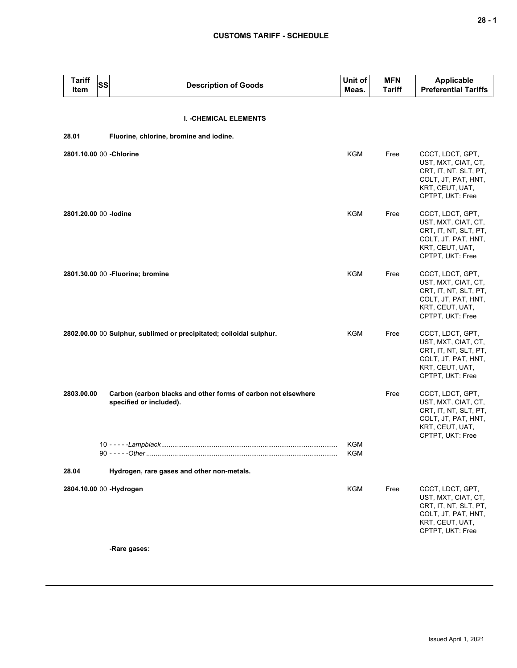| <b>Tariff</b><br>Item   | <b>SS</b> | <b>Description of Goods</b>                                                              | Unit of<br>Meas.  | <b>MFN</b><br>Tariff | <b>Applicable</b><br><b>Preferential Tariffs</b>                                                                               |
|-------------------------|-----------|------------------------------------------------------------------------------------------|-------------------|----------------------|--------------------------------------------------------------------------------------------------------------------------------|
|                         |           | <b>I. - CHEMICAL ELEMENTS</b>                                                            |                   |                      |                                                                                                                                |
| 28.01                   |           | Fluorine, chlorine, bromine and iodine.                                                  |                   |                      |                                                                                                                                |
|                         |           |                                                                                          |                   |                      |                                                                                                                                |
| 2801.10.00 00 -Chlorine |           |                                                                                          | KGM               | Free                 | CCCT, LDCT, GPT,<br>UST, MXT, CIAT, CT,<br>CRT, IT, NT, SLT, PT,<br>COLT, JT, PAT, HNT,<br>KRT, CEUT, UAT,<br>CPTPT, UKT: Free |
| 2801.20.00 00 - Iodine  |           |                                                                                          | KGM               | Free                 | CCCT, LDCT, GPT,<br>UST, MXT, CIAT, CT,<br>CRT, IT, NT, SLT, PT,<br>COLT, JT, PAT, HNT,<br>KRT, CEUT, UAT,<br>CPTPT, UKT: Free |
|                         |           | 2801.30.00 00 - Fluorine; bromine                                                        | <b>KGM</b>        | Free                 | CCCT, LDCT, GPT,<br>UST, MXT, CIAT, CT,<br>CRT, IT, NT, SLT, PT,<br>COLT, JT, PAT, HNT,<br>KRT, CEUT, UAT,<br>CPTPT, UKT: Free |
|                         |           | 2802.00.00 00 Sulphur, sublimed or precipitated; colloidal sulphur.                      | KGM               | Free                 | CCCT, LDCT, GPT,<br>UST, MXT, CIAT, CT,<br>CRT, IT, NT, SLT, PT,<br>COLT, JT, PAT, HNT,<br>KRT, CEUT, UAT,<br>CPTPT, UKT: Free |
| 2803.00.00              |           | Carbon (carbon blacks and other forms of carbon not elsewhere<br>specified or included). |                   | Free                 | CCCT, LDCT, GPT,<br>UST, MXT, CIAT, CT,<br>CRT, IT, NT, SLT, PT,<br>COLT, JT, PAT, HNT,<br>KRT, CEUT, UAT,<br>CPTPT, UKT: Free |
|                         |           |                                                                                          | <b>KGM</b><br>KGM |                      |                                                                                                                                |
| 28.04                   |           | Hydrogen, rare gases and other non-metals.                                               |                   |                      |                                                                                                                                |
|                         |           | 2804.10.00 00 -Hydrogen                                                                  | KGM               | Free                 | CCCT, LDCT, GPT,<br>UST, MXT, CIAT, CT,<br>CRT, IT, NT, SLT, PT,<br>COLT, JT, PAT, HNT,<br>KRT, CEUT, UAT,<br>CPTPT, UKT: Free |

**-Rare gases:**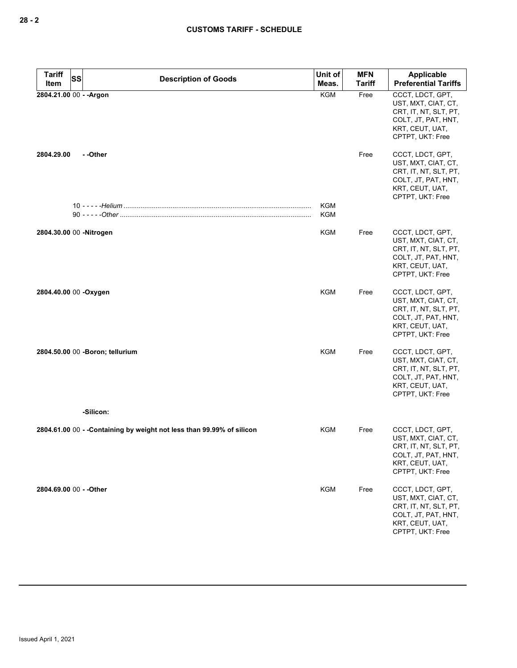| <b>Tariff</b><br>Item   | SS | <b>Description of Goods</b>                                            | Unit of<br>Meas. | <b>MFN</b><br><b>Tariff</b> | <b>Applicable</b><br><b>Preferential Tariffs</b>                                                                               |
|-------------------------|----|------------------------------------------------------------------------|------------------|-----------------------------|--------------------------------------------------------------------------------------------------------------------------------|
| 2804.21.00 00 - - Argon |    |                                                                        | <b>KGM</b>       | Free                        | CCCT, LDCT, GPT,<br>UST, MXT, CIAT, CT,<br>CRT, IT, NT, SLT, PT,<br>COLT, JT, PAT, HNT,<br>KRT, CEUT, UAT,<br>CPTPT, UKT: Free |
| 2804.29.00              |    | - -Other                                                               |                  | Free                        | CCCT, LDCT, GPT,<br>UST, MXT, CIAT, CT,<br>CRT, IT, NT, SLT, PT,<br>COLT, JT, PAT, HNT,<br>KRT, CEUT, UAT,<br>CPTPT, UKT: Free |
|                         |    |                                                                        | KGM<br>KGM       |                             |                                                                                                                                |
| 2804.30.00 00 -Nitrogen |    |                                                                        | KGM              | Free                        | CCCT, LDCT, GPT,<br>UST, MXT, CIAT, CT,<br>CRT, IT, NT, SLT, PT,<br>COLT, JT, PAT, HNT,<br>KRT, CEUT, UAT,<br>CPTPT, UKT: Free |
| 2804.40.00 00 -Oxygen   |    |                                                                        | <b>KGM</b>       | Free                        | CCCT, LDCT, GPT,<br>UST, MXT, CIAT, CT,<br>CRT, IT, NT, SLT, PT,<br>COLT, JT, PAT, HNT,<br>KRT, CEUT, UAT,<br>CPTPT, UKT: Free |
|                         |    | 2804.50.00 00 -Boron; tellurium                                        | <b>KGM</b>       | Free                        | CCCT, LDCT, GPT,<br>UST, MXT, CIAT, CT,<br>CRT, IT, NT, SLT, PT,<br>COLT, JT, PAT, HNT,<br>KRT, CEUT, UAT,<br>CPTPT, UKT: Free |
|                         |    | -Silicon:                                                              |                  |                             |                                                                                                                                |
|                         |    | 2804.61.00 00 - - Containing by weight not less than 99.99% of silicon | KGM              | Free                        | CCCT, LDCT, GPT,<br>UST, MXT, CIAT, CT,<br>CHI, II, NI, SLI, PI,<br>COLT, JT, PAT, HNT,<br>KRT, CEUT, UAT,<br>CPTPT, UKT: Free |
| 2804.69.00 00 - - Other |    |                                                                        | <b>KGM</b>       | Free                        | CCCT, LDCT, GPT,<br>UST, MXT, CIAT, CT,<br>CRT, IT, NT, SLT, PT,<br>COLT, JT, PAT, HNT,<br>KRT, CEUT, UAT,<br>CPTPT, UKT: Free |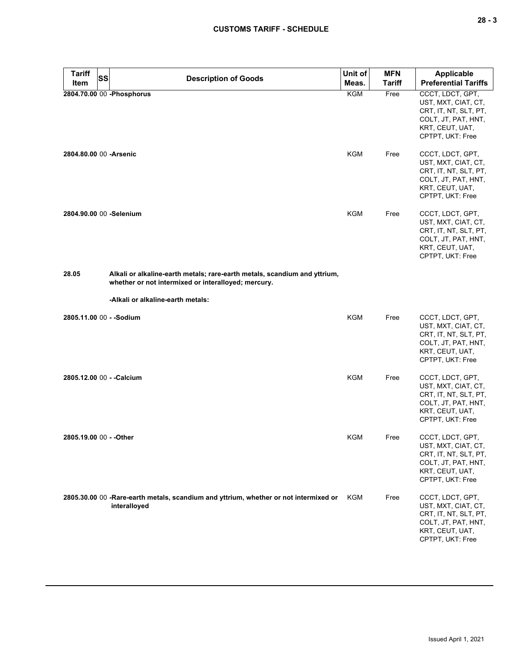| <b>Tariff</b>            | <b>SS</b><br><b>Description of Goods</b>                                                                                         | Unit of    | <b>MFN</b> | Applicable                                                                                                                     |
|--------------------------|----------------------------------------------------------------------------------------------------------------------------------|------------|------------|--------------------------------------------------------------------------------------------------------------------------------|
| Item                     |                                                                                                                                  | Meas.      | Tariff     | <b>Preferential Tariffs</b>                                                                                                    |
|                          | 2804.70.00 00 - Phosphorus                                                                                                       | KGM        | Free       | CCCT, LDCT, GPT,<br>UST, MXT, CIAT, CT,<br>CRT, IT, NT, SLT, PT,<br>COLT, JT, PAT, HNT,<br>KRT, CEUT, UAT,<br>CPTPT, UKT: Free |
| 2804.80.00 00 - Arsenic  |                                                                                                                                  | KGM        | Free       | CCCT, LDCT, GPT,<br>UST, MXT, CIAT, CT,<br>CRT, IT, NT, SLT, PT,<br>COLT, JT, PAT, HNT,<br>KRT, CEUT, UAT,<br>CPTPT, UKT: Free |
|                          | 2804.90.00 00 -Selenium                                                                                                          | <b>KGM</b> | Free       | CCCT, LDCT, GPT,<br>UST, MXT, CIAT, CT,<br>CRT, IT, NT, SLT, PT,<br>COLT, JT, PAT, HNT,<br>KRT, CEUT, UAT,<br>CPTPT, UKT: Free |
| 28.05                    | Alkali or alkaline-earth metals; rare-earth metals, scandium and yttrium,<br>whether or not intermixed or interalloyed; mercury. |            |            |                                                                                                                                |
|                          | -Alkali or alkaline-earth metals:                                                                                                |            |            |                                                                                                                                |
| 2805.11.00 00 - - Sodium |                                                                                                                                  | <b>KGM</b> | Free       | CCCT, LDCT, GPT,<br>UST, MXT, CIAT, CT,<br>CRT, IT, NT, SLT, PT,<br>COLT, JT, PAT, HNT,<br>KRT, CEUT, UAT,<br>CPTPT, UKT: Free |
|                          | 2805.12.00 00 - - Calcium                                                                                                        | <b>KGM</b> | Free       | CCCT, LDCT, GPT,<br>UST, MXT, CIAT, CT,<br>CRT, IT, NT, SLT, PT,<br>COLT, JT, PAT, HNT,<br>KRT, CEUT, UAT,<br>CPTPT, UKT: Free |
| 2805.19.00 00 - - Other  |                                                                                                                                  | KGM        | Free       | CCCT, LDCT, GPT,<br>UST, MXT, CIAT, CT,<br>CRT, IT, NT, SLT, PT,<br>COLT, JT, PAT, HNT,<br>KRT, CEUT, UAT,<br>CPTPT, UKT: Free |
|                          | 2805.30.00 00 -Rare-earth metals, scandium and yttrium, whether or not intermixed or<br>interalloyed                             | KGM        | Free       | CCCT, LDCT, GPT,<br>UST, MXT, CIAT, CT,<br>CRT, IT, NT, SLT, PT,<br>COLT, JT, PAT, HNT,<br>KRT, CEUT, UAT,<br>CPTPT, UKT: Free |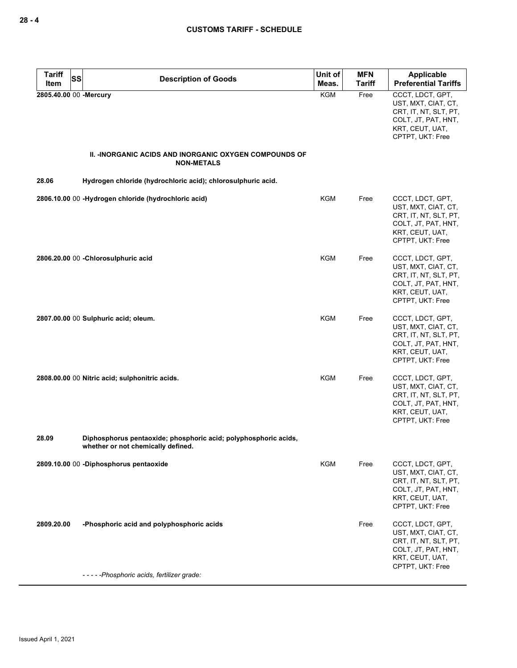| <b>Tariff</b><br>SS    | <b>Description of Goods</b>                                                                           | Unit of    | <b>MFN</b> | <b>Applicable</b>                                                                                                              |
|------------------------|-------------------------------------------------------------------------------------------------------|------------|------------|--------------------------------------------------------------------------------------------------------------------------------|
| Item                   |                                                                                                       | Meas.      | Tariff     | <b>Preferential Tariffs</b>                                                                                                    |
| 2805.40.00 00 -Mercury |                                                                                                       | <b>KGM</b> | Free       | CCCT, LDCT, GPT,<br>UST, MXT, CIAT, CT,<br>CRT, IT, NT, SLT, PT,<br>COLT, JT, PAT, HNT,<br>KRT, CEUT, UAT,<br>CPTPT, UKT: Free |
|                        | <b>II. -INORGANIC ACIDS AND INORGANIC OXYGEN COMPOUNDS OF</b><br><b>NON-METALS</b>                    |            |            |                                                                                                                                |
| 28.06                  | Hydrogen chloride (hydrochloric acid); chlorosulphuric acid.                                          |            |            |                                                                                                                                |
|                        | 2806.10.00 00 -Hydrogen chloride (hydrochloric acid)                                                  | KGM        | Free       | CCCT, LDCT, GPT,<br>UST, MXT, CIAT, CT,<br>CRT, IT, NT, SLT, PT,<br>COLT, JT, PAT, HNT,<br>KRT, CEUT, UAT,<br>CPTPT, UKT: Free |
|                        | 2806.20.00 00 - Chlorosulphuric acid                                                                  | <b>KGM</b> | Free       | CCCT, LDCT, GPT,<br>UST, MXT, CIAT, CT,<br>CRT, IT, NT, SLT, PT,<br>COLT, JT, PAT, HNT,<br>KRT, CEUT, UAT,<br>CPTPT, UKT: Free |
|                        | 2807.00.00 00 Sulphuric acid; oleum.                                                                  | <b>KGM</b> | Free       | CCCT, LDCT, GPT,<br>UST, MXT, CIAT, CT,<br>CRT, IT, NT, SLT, PT,<br>COLT, JT, PAT, HNT,<br>KRT, CEUT, UAT,<br>CPTPT, UKT: Free |
|                        | 2808.00.00 00 Nitric acid; sulphonitric acids.                                                        | KGM        | Free       | CCCT, LDCT, GPT,<br>UST, MXT, CIAT, CT,<br>CRT, IT, NT, SLT, PT,<br>COLT, JT, PAT, HNT,<br>KRT, CEUT, UAT,<br>CPTPT, UKT: Free |
| 28.09                  | Diphosphorus pentaoxide; phosphoric acid; polyphosphoric acids,<br>whether or not chemically defined. |            |            |                                                                                                                                |
|                        | 2809.10.00 00 -Diphosphorus pentaoxide                                                                | KGM        | Free       | CCCT, LDCT, GPT,<br>UST, MXT, CIAT, CT,<br>CRT, IT, NT, SLT, PT,<br>COLT, JT, PAT, HNT,<br>KRT, CEUT, UAT,<br>CPTPT, UKT: Free |
| 2809.20.00             | -Phosphoric acid and polyphosphoric acids                                                             |            | Free       | CCCT, LDCT, GPT,<br>UST, MXT, CIAT, CT,<br>CRT, IT, NT, SLT, PT,<br>COLT, JT, PAT, HNT,<br>KRT, CEUT, UAT,<br>CPTPT, UKT: Free |
|                        | -----Phosphoric acids, fertilizer grade:                                                              |            |            |                                                                                                                                |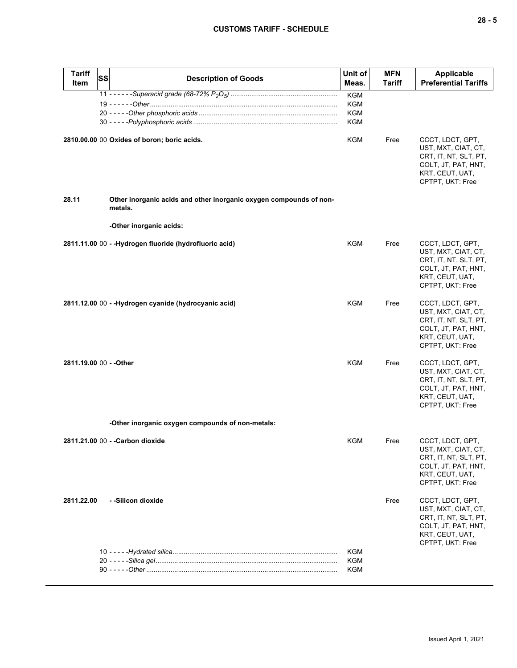| <b>Tariff</b><br>ltem   | SS | <b>Description of Goods</b>                                                   | Unit of<br>Meas.                              | <b>MFN</b><br>Tariff | <b>Applicable</b><br><b>Preferential Tariffs</b>                                                                               |
|-------------------------|----|-------------------------------------------------------------------------------|-----------------------------------------------|----------------------|--------------------------------------------------------------------------------------------------------------------------------|
|                         |    |                                                                               | <b>KGM</b><br>KGM<br><b>KGM</b><br><b>KGM</b> |                      |                                                                                                                                |
|                         |    | 2810.00.00 00 Oxides of boron; boric acids.                                   | KGM                                           | Free                 | CCCT, LDCT, GPT,<br>UST, MXT, CIAT, CT,<br>CRT, IT, NT, SLT, PT,<br>COLT, JT, PAT, HNT,<br>KRT, CEUT, UAT,<br>CPTPT, UKT: Free |
| 28.11                   |    | Other inorganic acids and other inorganic oxygen compounds of non-<br>metals. |                                               |                      |                                                                                                                                |
|                         |    | -Other inorganic acids:                                                       |                                               |                      |                                                                                                                                |
|                         |    | 2811.11.00 00 - -Hydrogen fluoride (hydrofluoric acid)                        | KGM                                           | Free                 | CCCT, LDCT, GPT,<br>UST, MXT, CIAT, CT,<br>CRT, IT, NT, SLT, PT,<br>COLT, JT, PAT, HNT,<br>KRT, CEUT, UAT,<br>CPTPT, UKT: Free |
|                         |    | 2811.12.00 00 - -Hydrogen cyanide (hydrocyanic acid)                          | KGM                                           | Free                 | CCCT, LDCT, GPT,<br>UST, MXT, CIAT, CT,<br>CRT, IT, NT, SLT, PT,<br>COLT, JT, PAT, HNT,<br>KRT, CEUT, UAT,<br>CPTPT, UKT: Free |
| 2811.19.00 00 - - Other |    |                                                                               | KGM                                           | Free                 | CCCT, LDCT, GPT,<br>UST, MXT, CIAT, CT,<br>CRT, IT, NT, SLT, PT,<br>COLT, JT, PAT, HNT,<br>KRT, CEUT, UAT,<br>CPTPT, UKT: Free |
|                         |    | -Other inorganic oxygen compounds of non-metals:                              |                                               |                      |                                                                                                                                |
|                         |    | 2811.21.00 00 - - Carbon dioxide                                              | KGM                                           | Free                 | CCCT, LDCT, GPT,<br>UST, MXT, CIAT, CT,<br>CRT, IT, NT, SLT, PT,<br>COLT, JT, PAT, HNT,<br>KRT, CEUT, UAT,<br>CPTPT, UKT: Free |
| 2811.22.00              |    | - -Silicon dioxide                                                            |                                               | Free                 | CCCT, LDCT, GPT,<br>UST, MXT, CIAT, CT,<br>CRT, IT, NT, SLT, PT,<br>COLT, JT, PAT, HNT,<br>KRT, CEUT, UAT,<br>CPTPT, UKT: Free |
|                         |    |                                                                               | KGM<br><b>KGM</b>                             |                      |                                                                                                                                |
|                         |    |                                                                               | <b>KGM</b>                                    |                      |                                                                                                                                |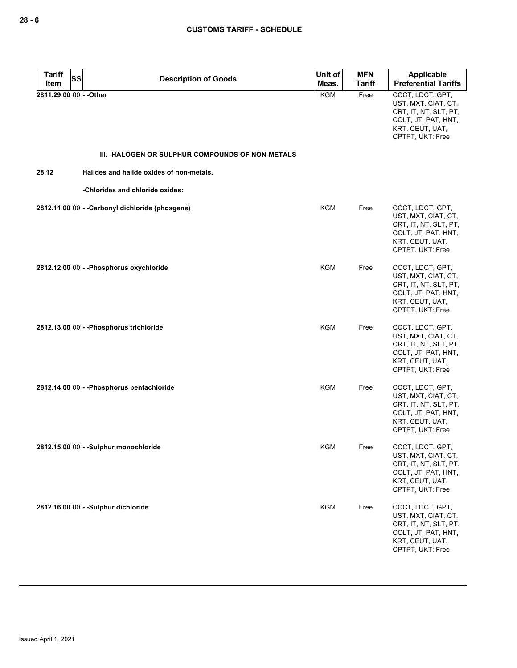| <b>Tariff</b>           | SS<br><b>Description of Goods</b>                | Unit of    | <b>MFN</b>    | Applicable                                                                                                                     |
|-------------------------|--------------------------------------------------|------------|---------------|--------------------------------------------------------------------------------------------------------------------------------|
| Item                    |                                                  | Meas.      | <b>Tariff</b> | <b>Preferential Tariffs</b>                                                                                                    |
| 2811.29.00 00 - - Other |                                                  | <b>KGM</b> | Free          | CCCT, LDCT, GPT,<br>UST, MXT, CIAT, CT,<br>CRT, IT, NT, SLT, PT,<br>COLT, JT, PAT, HNT,<br>KRT, CEUT, UAT,<br>CPTPT, UKT: Free |
|                         | III. -HALOGEN OR SULPHUR COMPOUNDS OF NON-METALS |            |               |                                                                                                                                |
| 28.12                   | Halides and halide oxides of non-metals.         |            |               |                                                                                                                                |
|                         | -Chlorides and chloride oxides:                  |            |               |                                                                                                                                |
|                         | 2812.11.00 00 - - Carbonyl dichloride (phosgene) | KGM        | Free          | CCCT, LDCT, GPT,<br>UST, MXT, CIAT, CT,<br>CRT, IT, NT, SLT, PT,<br>COLT, JT, PAT, HNT,<br>KRT, CEUT, UAT,<br>CPTPT, UKT: Free |
|                         | 2812.12.00 00 - - Phosphorus oxychloride         | KGM        | Free          | CCCT, LDCT, GPT,<br>UST, MXT, CIAT, CT,<br>CRT, IT, NT, SLT, PT,<br>COLT, JT, PAT, HNT,<br>KRT, CEUT, UAT,<br>CPTPT, UKT: Free |
|                         | 2812.13.00 00 - - Phosphorus trichloride         | <b>KGM</b> | Free          | CCCT, LDCT, GPT,<br>UST, MXT, CIAT, CT,<br>CRT, IT, NT, SLT, PT,<br>COLT, JT, PAT, HNT,<br>KRT, CEUT, UAT,<br>CPTPT, UKT: Free |
|                         | 2812.14.00 00 - - Phosphorus pentachloride       | KGM        | Free          | CCCT, LDCT, GPT,<br>UST, MXT, CIAT, CT,<br>CRT, IT, NT, SLT, PT,<br>COLT, JT, PAT, HNT,<br>KRT, CEUT, UAT,<br>CPTPT, UKT: Free |
|                         | 2812.15.00 00 - - Sulphur monochloride           | KGM        | Free          | CCCT, LDCT, GPT,<br>UST, MXT, CIAT, CT,<br>CRT, IT, NT, SLT, PT,<br>COLT, JT, PAT, HNT,<br>KRT, CEUT, UAT,<br>CPTPT, UKT: Free |
|                         | 2812.16.00 00 - -Sulphur dichloride              | <b>KGM</b> | Free          | CCCT, LDCT, GPT,<br>UST, MXT, CIAT, CT,<br>CRT, IT, NT, SLT, PT,<br>COLT, JT, PAT, HNT,<br>KRT, CEUT, UAT,<br>CPTPT, UKT: Free |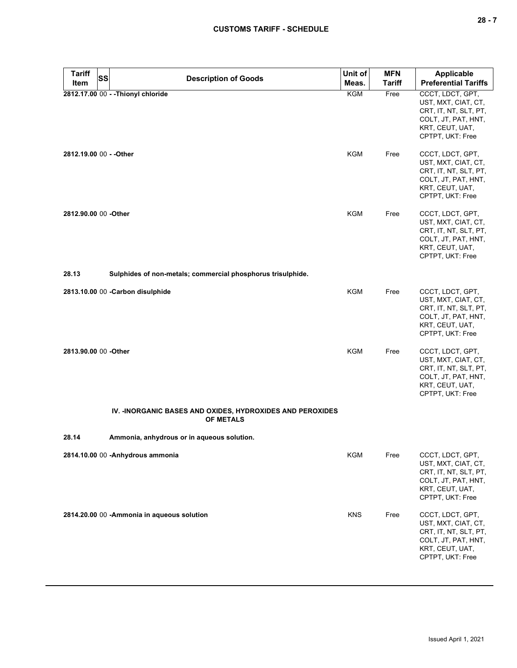| <b>Tariff</b><br><b>SS</b> | <b>Description of Goods</b>                                                    | Unit of    | <b>MFN</b>    | <b>Applicable</b>                                                                                                              |
|----------------------------|--------------------------------------------------------------------------------|------------|---------------|--------------------------------------------------------------------------------------------------------------------------------|
| Item                       |                                                                                | Meas.      | <b>Tariff</b> | <b>Preferential Tariffs</b>                                                                                                    |
|                            | 2812.17.00 00 - - Thionyl chloride                                             | KGM        | Free          | CCCT, LDCT, GPT,<br>UST, MXT, CIAT, CT,<br>CRT, IT, NT, SLT, PT,<br>COLT, JT, PAT, HNT,<br>KRT, CEUT, UAT,<br>CPTPT, UKT: Free |
| 2812.19.00 00 - - Other    |                                                                                | KGM        | Free          | CCCT, LDCT, GPT,<br>UST, MXT, CIAT, CT,<br>CRT, IT, NT, SLT, PT,<br>COLT, JT, PAT, HNT,<br>KRT, CEUT, UAT,<br>CPTPT, UKT: Free |
| 2812.90.00 00 -Other       |                                                                                | KGM        | Free          | CCCT, LDCT, GPT,<br>UST, MXT, CIAT, CT,<br>CRT, IT, NT, SLT, PT,<br>COLT, JT, PAT, HNT,<br>KRT, CEUT, UAT,<br>CPTPT, UKT: Free |
| 28.13                      | Sulphides of non-metals; commercial phosphorus trisulphide.                    |            |               |                                                                                                                                |
|                            | 2813.10.00 00 - Carbon disulphide                                              | <b>KGM</b> | Free          | CCCT, LDCT, GPT,<br>UST, MXT, CIAT, CT,<br>CRT, IT, NT, SLT, PT,<br>COLT, JT, PAT, HNT,<br>KRT, CEUT, UAT,<br>CPTPT, UKT: Free |
| 2813.90.00 00 -Other       |                                                                                | <b>KGM</b> | Free          | CCCT, LDCT, GPT,<br>UST, MXT, CIAT, CT,<br>CRT, IT, NT, SLT, PT,<br>COLT, JT, PAT, HNT,<br>KRT, CEUT, UAT,<br>CPTPT, UKT: Free |
|                            | IV. - INORGANIC BASES AND OXIDES, HYDROXIDES AND PEROXIDES<br><b>OF METALS</b> |            |               |                                                                                                                                |
| 28.14                      | Ammonia, anhydrous or in aqueous solution.                                     |            |               |                                                                                                                                |
|                            | 2814.10.00 00 - Anhydrous ammonia                                              | KGM        | Free          | CCCT, LDCT, GPT,<br>UST, MXT, CIAT, CT,<br>CRT, IT, NT, SLT, PT,<br>COLT, JT, PAT, HNT,<br>KRT, CEUT, UAT,<br>CPTPT, UKT: Free |
|                            | 2814.20.00 00 - Ammonia in aqueous solution                                    | <b>KNS</b> | Free          | CCCT, LDCT, GPT,<br>UST, MXT, CIAT, CT,<br>CRT, IT, NT, SLT, PT,<br>COLT, JT, PAT, HNT,<br>KRT, CEUT, UAT,<br>CPTPT, UKT: Free |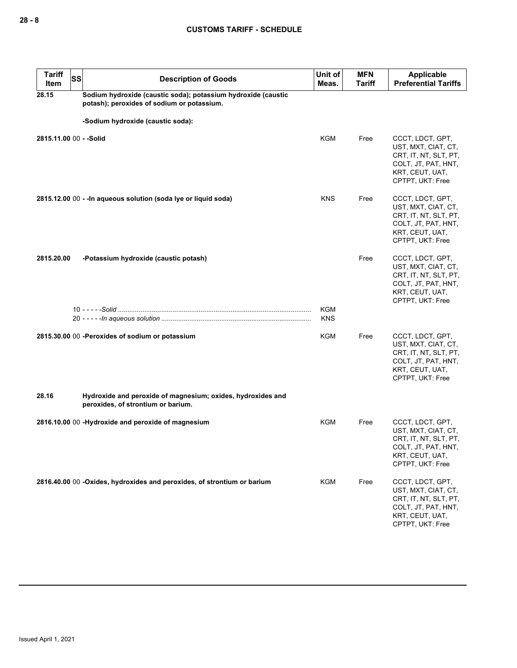| <b>Tariff</b><br><b>SS</b><br>Item | <b>Description of Goods</b>                                                                                 | Unit of<br>Meas.         | <b>MFN</b><br>Tariff | Applicable<br><b>Preferential Tariffs</b>                                                                                      |
|------------------------------------|-------------------------------------------------------------------------------------------------------------|--------------------------|----------------------|--------------------------------------------------------------------------------------------------------------------------------|
| 28.15                              | Sodium hydroxide (caustic soda); potassium hydroxide (caustic<br>potash); peroxides of sodium or potassium. |                          |                      |                                                                                                                                |
|                                    | -Sodium hydroxide (caustic soda):                                                                           |                          |                      |                                                                                                                                |
| 2815.11.00 00 - - Solid            |                                                                                                             | <b>KGM</b>               | Free                 | CCCT, LDCT, GPT,<br>UST, MXT, CIAT, CT,<br>CRT, IT, NT, SLT, PT,<br>COLT, JT, PAT, HNT,<br>KRT, CEUT, UAT,<br>CPTPT, UKT: Free |
|                                    | 2815.12.00 00 - - In aqueous solution (soda lye or liquid soda)                                             | <b>KNS</b>               | Free                 | CCCT, LDCT, GPT,<br>UST, MXT, CIAT, CT,<br>CRT, IT, NT, SLT, PT,<br>COLT, JT, PAT, HNT,<br>KRT, CEUT, UAT,<br>CPTPT, UKT: Free |
| 2815.20.00                         | -Potassium hydroxide (caustic potash)                                                                       |                          | Free                 | CCCT, LDCT, GPT,<br>UST, MXT, CIAT, CT,<br>CRT, IT, NT, SLT, PT,<br>COLT, JT, PAT, HNT,<br>KRT, CEUT, UAT,<br>CPTPT, UKT: Free |
|                                    |                                                                                                             | <b>KGM</b><br><b>KNS</b> |                      |                                                                                                                                |
|                                    | 2815.30.00 00 -Peroxides of sodium or potassium                                                             | KGM                      | Free                 | CCCT, LDCT, GPT,<br>UST, MXT, CIAT, CT,<br>CRT, IT, NT, SLT, PT,<br>COLT, JT, PAT, HNT,<br>KRT, CEUT, UAT,<br>CPTPT, UKT: Free |
| 28.16                              | Hydroxide and peroxide of magnesium; oxides, hydroxides and<br>peroxides, of strontium or barium.           |                          |                      |                                                                                                                                |
|                                    | 2816.10.00 00 -Hydroxide and peroxide of magnesium                                                          | KGM                      | Free                 | CCCT, LDCT, GPT,<br>UST, MXT, CIAT, CT,<br>CRT, IT, NT, SLT, PT,<br>COLT, JT, PAT, HNT,<br>KRT, CEUT, UAT,<br>CPTPT, UKT: Free |
|                                    | 2816.40.00 00 -Oxides, hydroxides and peroxides, of strontium or barium                                     | KGM                      | Free                 | CCCT, LDCT, GPT,<br>UST, MXT, CIAT, CT,<br>CRT, IT, NT, SLT, PT,<br>COLT, JT, PAT, HNT,<br>KRT, CEUT, UAT,<br>CPTPT, UKT: Free |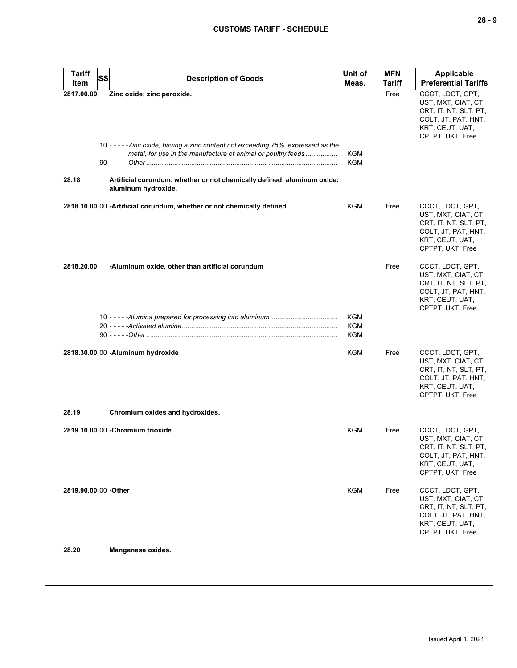| <b>Tariff</b><br>Item | <b>SS</b> | <b>Description of Goods</b>                                                                                                                        | Unit of<br>Meas.         | <b>MFN</b><br><b>Tariff</b> | Applicable<br><b>Preferential Tariffs</b>                                                                                      |
|-----------------------|-----------|----------------------------------------------------------------------------------------------------------------------------------------------------|--------------------------|-----------------------------|--------------------------------------------------------------------------------------------------------------------------------|
| 2817.00.00            |           | Zinc oxide; zinc peroxide.                                                                                                                         |                          | Free                        | CCCT, LDCT, GPT,<br>UST, MXT, CIAT, CT,<br>CRT, IT, NT, SLT, PT,<br>COLT, JT, PAT, HNT,<br>KRT, CEUT, UAT,<br>CPTPT, UKT: Free |
|                       |           | 10 - - - - - Zinc oxide, having a zinc content not exceeding 75%, expressed as the<br>metal, for use in the manufacture of animal or poultry feeds | KGM<br><b>KGM</b>        |                             |                                                                                                                                |
| 28.18                 |           | Artificial corundum, whether or not chemically defined; aluminum oxide;<br>aluminum hydroxide.                                                     |                          |                             |                                                                                                                                |
|                       |           | 2818.10.00 00 -Artificial corundum, whether or not chemically defined                                                                              | KGM                      | Free                        | CCCT, LDCT, GPT,<br>UST, MXT, CIAT, CT,<br>CRT, IT, NT, SLT, PT,<br>COLT, JT, PAT, HNT,<br>KRT, CEUT, UAT,<br>CPTPT, UKT: Free |
| 2818.20.00            |           | -Aluminum oxide, other than artificial corundum                                                                                                    |                          | Free                        | CCCT, LDCT, GPT,<br>UST, MXT, CIAT, CT,<br>CRT, IT, NT, SLT, PT,<br>COLT, JT, PAT, HNT,<br>KRT, CEUT, UAT,<br>CPTPT, UKT: Free |
|                       |           |                                                                                                                                                    | KGM<br><b>KGM</b><br>KGM |                             |                                                                                                                                |
|                       |           | 2818.30.00 00 -Aluminum hydroxide                                                                                                                  | KGM                      | Free                        | CCCT, LDCT, GPT,<br>UST, MXT, CIAT, CT,<br>CRT, IT, NT, SLT, PT,<br>COLT, JT, PAT, HNT,<br>KRT, CEUT, UAT,<br>CPTPT, UKT: Free |
| 28.19                 |           | Chromium oxides and hydroxides.                                                                                                                    |                          |                             |                                                                                                                                |
|                       |           | 2819.10.00 00 - Chromium trioxide                                                                                                                  | KGM                      | Free                        | CCCT, LDCT, GPT,<br>UST, MXT, CIAT, CT,<br>CRT, IT, NT, SLT, PT,<br>COLT, JT, PAT, HNT,<br>KRT, CEUT, UAT,<br>CPTPT, UKT: Free |
| 2819.90.00 00 - Other |           |                                                                                                                                                    | KGM                      | Free                        | CCCT, LDCT, GPT,<br>UST, MXT, CIAT, CT,<br>CRT, IT, NT, SLT, PT,<br>COLT, JT, PAT, HNT,<br>KRT, CEUT, UAT,<br>CPTPT, UKT: Free |
| 28.20                 |           | Manganese oxides.                                                                                                                                  |                          |                             |                                                                                                                                |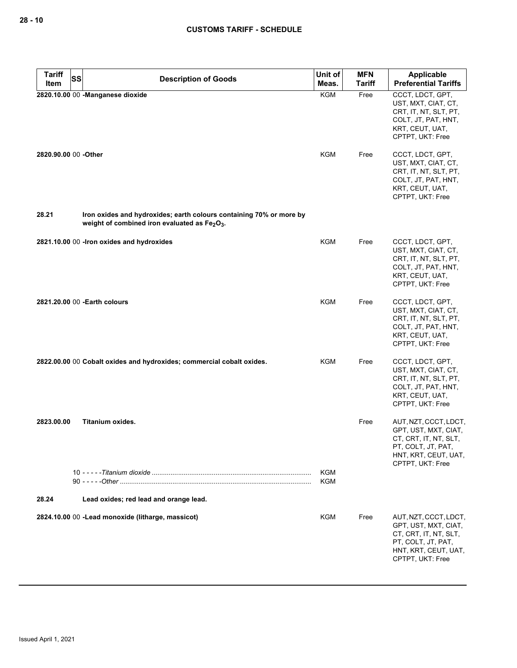| <b>Tariff</b><br><b>SS</b> | <b>Description of Goods</b>                                                                                                                  | Unit of           | <b>MFN</b>    | Applicable                                                                                                                               |
|----------------------------|----------------------------------------------------------------------------------------------------------------------------------------------|-------------------|---------------|------------------------------------------------------------------------------------------------------------------------------------------|
| Item                       |                                                                                                                                              | Meas.             | <b>Tariff</b> | <b>Preferential Tariffs</b>                                                                                                              |
|                            | 2820.10.00 00 - Manganese dioxide                                                                                                            | KGM               | Free          | CCCT, LDCT, GPT,<br>UST, MXT, CIAT, CT,<br>CRT, IT, NT, SLT, PT,<br>COLT, JT, PAT, HNT,<br>KRT, CEUT, UAT,<br>CPTPT, UKT: Free           |
| 2820.90.00 00 -Other       |                                                                                                                                              | <b>KGM</b>        | Free          | CCCT, LDCT, GPT,<br>UST, MXT, CIAT, CT,<br>CRT, IT, NT, SLT, PT,<br>COLT, JT, PAT, HNT,<br>KRT, CEUT, UAT,<br>CPTPT, UKT: Free           |
| 28.21                      | Iron oxides and hydroxides; earth colours containing 70% or more by<br>weight of combined iron evaluated as Fe <sub>2</sub> O <sub>3</sub> . |                   |               |                                                                                                                                          |
|                            | 2821.10.00 00 - Iron oxides and hydroxides                                                                                                   | <b>KGM</b>        | Free          | CCCT, LDCT, GPT,<br>UST, MXT, CIAT, CT,<br>CRT, IT, NT, SLT, PT,<br>COLT, JT, PAT, HNT,<br>KRT, CEUT, UAT,<br>CPTPT, UKT: Free           |
|                            | 2821.20.00 00 - Earth colours                                                                                                                | <b>KGM</b>        | Free          | CCCT, LDCT, GPT,<br>UST, MXT, CIAT, CT,<br>CRT, IT, NT, SLT, PT,<br>COLT, JT, PAT, HNT,<br>KRT, CEUT, UAT,<br>CPTPT, UKT: Free           |
|                            | 2822.00.00 00 Cobalt oxides and hydroxides; commercial cobalt oxides.                                                                        | <b>KGM</b>        | Free          | CCCT, LDCT, GPT,<br>UST, MXT, CIAT, CT,<br>CRT, IT, NT, SLT, PT,<br>COLT, JT, PAT, HNT,<br>KRT, CEUT, UAT,<br>CPTPT, UKT: Free           |
| 2823.00.00                 | <b>Titanium oxides.</b>                                                                                                                      |                   | Free          | AUT, NZT, CCCT, LDCT,<br>GPT, UST, MXT, CIAT,<br>CT, CRT, IT, NT, SLT,<br>PT, COLT, JT, PAT,<br>HNT, KRT, CEUT, UAT,<br>CPTPT, UKT: Free |
|                            |                                                                                                                                              | <b>KGM</b><br>KGM |               |                                                                                                                                          |
| 28.24                      | Lead oxides; red lead and orange lead.                                                                                                       |                   |               |                                                                                                                                          |
|                            | 2824.10.00 00 -Lead monoxide (litharge, massicot)                                                                                            | KGM               | Free          | AUT, NZT, CCCT, LDCT,<br>GPT, UST, MXT, CIAT,<br>CT, CRT, IT, NT, SLT,<br>PT, COLT, JT, PAT,<br>HNT, KRT, CEUT, UAT,<br>CPTPT, UKT: Free |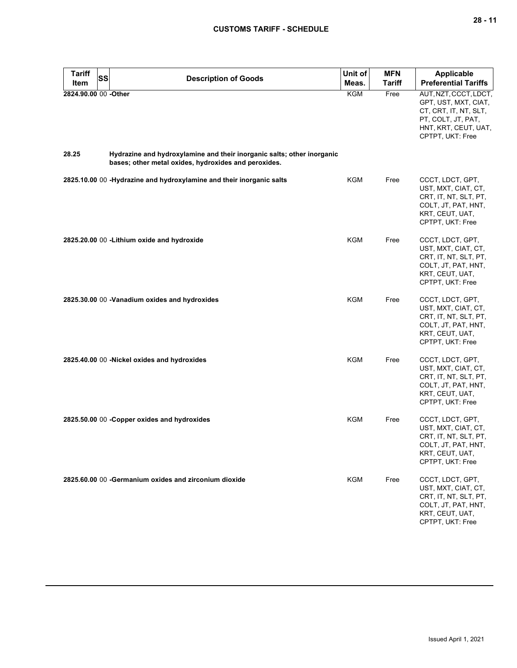| <b>Tariff</b>        | <b>SS</b> | <b>Description of Goods</b>                                                                                                    | Unit of    | <b>MFN</b>    | <b>Applicable</b>                                                                                                                        |
|----------------------|-----------|--------------------------------------------------------------------------------------------------------------------------------|------------|---------------|------------------------------------------------------------------------------------------------------------------------------------------|
| Item                 |           |                                                                                                                                | Meas.      | <b>Tariff</b> | <b>Preferential Tariffs</b>                                                                                                              |
| 2824.90.00 00 -Other |           |                                                                                                                                | KGM        | Free          | AUT, NZT, CCCT, LDCT,<br>GPT, UST, MXT, CIAT,<br>CT, CRT, IT, NT, SLT,<br>PT, COLT, JT, PAT,<br>HNT, KRT, CEUT, UAT,<br>CPTPT, UKT: Free |
| 28.25                |           | Hydrazine and hydroxylamine and their inorganic salts; other inorganic<br>bases; other metal oxides, hydroxides and peroxides. |            |               |                                                                                                                                          |
|                      |           | 2825.10.00 00 -Hydrazine and hydroxylamine and their inorganic salts                                                           | KGM        | Free          | CCCT, LDCT, GPT,<br>UST, MXT, CIAT, CT,<br>CRT, IT, NT, SLT, PT,<br>COLT, JT, PAT, HNT,<br>KRT, CEUT, UAT,<br>CPTPT, UKT: Free           |
|                      |           | 2825.20.00 00 - Lithium oxide and hydroxide                                                                                    | <b>KGM</b> | Free          | CCCT, LDCT, GPT,<br>UST, MXT, CIAT, CT,<br>CRT, IT, NT, SLT, PT,<br>COLT, JT, PAT, HNT,<br>KRT, CEUT, UAT,<br>CPTPT, UKT: Free           |
|                      |           | 2825.30.00 00 -Vanadium oxides and hydroxides                                                                                  | KGM        | Free          | CCCT, LDCT, GPT,<br>UST, MXT, CIAT, CT,<br>CRT, IT, NT, SLT, PT,<br>COLT, JT, PAT, HNT,<br>KRT, CEUT, UAT,<br>CPTPT, UKT: Free           |
|                      |           | 2825.40.00 00 -Nickel oxides and hydroxides                                                                                    | <b>KGM</b> | Free          | CCCT, LDCT, GPT,<br>UST, MXT, CIAT, CT,<br>CRT, IT, NT, SLT, PT,<br>COLT, JT, PAT, HNT,<br>KRT, CEUT, UAT,<br>CPTPT, UKT: Free           |
|                      |           | 2825.50.00 00 - Copper oxides and hydroxides                                                                                   | KGM        | Free          | CCCT, LDCT, GPT,<br>UST, MXT, CIAT, CT,<br>CRT, IT, NT, SLT, PT,<br>COLT, JT, PAT, HNT,<br>KRT, CEUT, UAT,<br>CPTPT, UKT: Free           |
|                      |           | 2825.60.00 00 - Germanium oxides and zirconium dioxide                                                                         | KGM        | Free          | CCCT, LDCT, GPT,<br>UST, MXT, CIAT, CT,<br>CRT, IT, NT, SLT, PT,<br>COLT, JT, PAT, HNT,<br>KRT, CEUT, UAT,<br>CPTPT, UKT: Free           |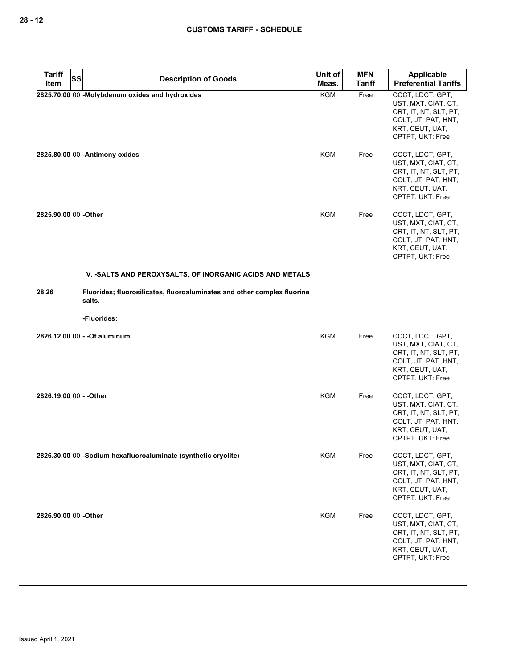| <b>Tariff</b><br><b>SS</b> | <b>Description of Goods</b>                                                       | Unit of    | <b>MFN</b>    | <b>Applicable</b>                                                                                                              |
|----------------------------|-----------------------------------------------------------------------------------|------------|---------------|--------------------------------------------------------------------------------------------------------------------------------|
| Item                       |                                                                                   | Meas.      | <b>Tariff</b> | <b>Preferential Tariffs</b>                                                                                                    |
|                            | 2825.70.00 00 -Molybdenum oxides and hydroxides                                   | <b>KGM</b> | Free          | CCCT, LDCT, GPT,<br>UST, MXT, CIAT, CT,<br>CRT, IT, NT, SLT, PT,<br>COLT, JT, PAT, HNT,<br>KRT, CEUT, UAT,<br>CPTPT, UKT: Free |
|                            | 2825.80.00 00 - Antimony oxides                                                   | KGM        | Free          | CCCT, LDCT, GPT,<br>UST, MXT, CIAT, CT,<br>CRT, IT, NT, SLT, PT,<br>COLT, JT, PAT, HNT,<br>KRT, CEUT, UAT,<br>CPTPT, UKT: Free |
| 2825.90.00 00 -Other       |                                                                                   | <b>KGM</b> | Free          | CCCT, LDCT, GPT,<br>UST, MXT, CIAT, CT,<br>CRT, IT, NT, SLT, PT,<br>COLT, JT, PAT, HNT,<br>KRT, CEUT, UAT,<br>CPTPT, UKT: Free |
|                            | V. - SALTS AND PEROXYSALTS, OF INORGANIC ACIDS AND METALS                         |            |               |                                                                                                                                |
| 28.26                      | Fluorides; fluorosilicates, fluoroaluminates and other complex fluorine<br>salts. |            |               |                                                                                                                                |
|                            | -Fluorides:                                                                       |            |               |                                                                                                                                |
|                            | 2826.12.00 00 - - Of aluminum                                                     | <b>KGM</b> | Free          | CCCT, LDCT, GPT,<br>UST, MXT, CIAT, CT,<br>CRT, IT, NT, SLT, PT,<br>COLT, JT, PAT, HNT,<br>KRT, CEUT, UAT,<br>CPTPT, UKT: Free |
| 2826.19.00 00 - - Other    |                                                                                   | <b>KGM</b> | Free          | CCCT, LDCT, GPT,<br>UST, MXT, CIAT, CT,<br>CRT, IT, NT, SLT, PT,<br>COLT, JT, PAT, HNT,<br>KRT, CEUT, UAT,<br>CPTPT, UKT: Free |
|                            | 2826.30.00 00 -Sodium hexafluoroaluminate (synthetic cryolite)                    | <b>KGM</b> | Free          | CCCT, LDCT, GPT,<br>UST, MXT, CIAT, CT,<br>CRT, IT, NT, SLT, PT,<br>COLT, JT, PAT, HNT,<br>KRT, CEUT, UAT,<br>CPTPT, UKT: Free |
| 2826.90.00 00 -Other       |                                                                                   | <b>KGM</b> | Free          | CCCT, LDCT, GPT,<br>UST, MXT, CIAT, CT,<br>CRT, IT, NT, SLT, PT,<br>COLT, JT, PAT, HNT,<br>KRT, CEUT, UAT,<br>CPTPT, UKT: Free |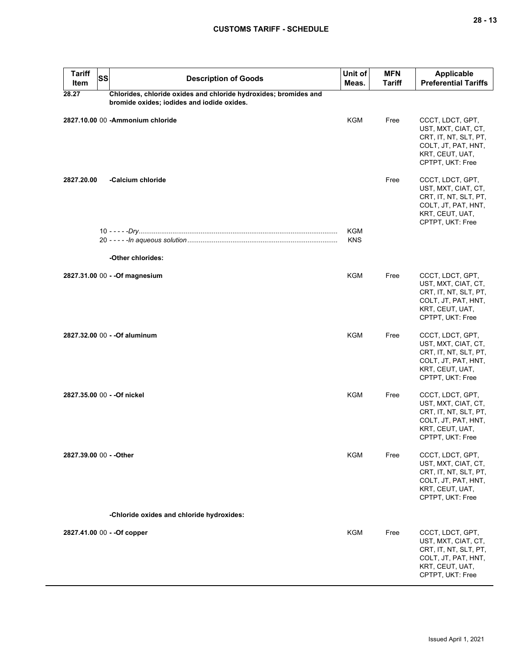| <b>Tariff</b><br>Item   | <b>SS</b> | <b>Description of Goods</b>                                      | Unit of<br>Meas. | <b>MFN</b><br><b>Tariff</b> | Applicable<br><b>Preferential Tariffs</b>                                                                                      |
|-------------------------|-----------|------------------------------------------------------------------|------------------|-----------------------------|--------------------------------------------------------------------------------------------------------------------------------|
| 28.27                   |           | Chlorides, chloride oxides and chloride hydroxides; bromides and |                  |                             |                                                                                                                                |
|                         |           | bromide oxides; iodides and iodide oxides.                       |                  |                             |                                                                                                                                |
|                         |           | 2827.10.00 00 - Ammonium chloride                                | <b>KGM</b>       | Free                        | CCCT, LDCT, GPT,<br>UST, MXT, CIAT, CT,<br>CRT, IT, NT, SLT, PT,<br>COLT, JT, PAT, HNT,<br>KRT, CEUT, UAT,<br>CPTPT, UKT: Free |
| 2827.20.00              |           | -Calcium chloride                                                |                  | Free                        | CCCT, LDCT, GPT,<br>UST, MXT, CIAT, CT,<br>CRT, IT, NT, SLT, PT,<br>COLT, JT, PAT, HNT,<br>KRT, CEUT, UAT,<br>CPTPT, UKT: Free |
|                         |           |                                                                  | KGM              |                             |                                                                                                                                |
|                         |           |                                                                  | <b>KNS</b>       |                             |                                                                                                                                |
|                         |           | -Other chlorides:                                                |                  |                             |                                                                                                                                |
|                         |           | 2827.31.00 00 - - Of magnesium                                   | KGM              | Free                        | CCCT, LDCT, GPT,<br>UST, MXT, CIAT, CT,<br>CRT, IT, NT, SLT, PT,<br>COLT, JT, PAT, HNT,<br>KRT, CEUT, UAT,<br>CPTPT, UKT: Free |
|                         |           | 2827.32.00 00 - - Of aluminum                                    | KGM              | Free                        | CCCT, LDCT, GPT,<br>UST, MXT, CIAT, CT,<br>CRT, IT, NT, SLT, PT,<br>COLT, JT, PAT, HNT,<br>KRT, CEUT, UAT,<br>CPTPT, UKT: Free |
|                         |           | 2827.35.00 00 - - Of nickel                                      | KGM              | Free                        | CCCT, LDCT, GPT,<br>UST, MXT, CIAT, CT,<br>CRT, IT, NT, SLT, PT,<br>COLT, JT, PAT, HNT,<br>KRT, CEUT, UAT,<br>CPTPT, UKT: Free |
| 2827.39.00 00 - - Other |           |                                                                  | KGM              | Free                        | CCCT, LDCT, GPT,<br>UST, MXT, CIAT, CT,<br>CRT, IT, NT, SLT, PT,<br>COLT, JT, PAT, HNT,<br>KRT, CEUT, UAT,<br>CPTPT, UKT: Free |
|                         |           | -Chloride oxides and chloride hydroxides:                        |                  |                             |                                                                                                                                |
|                         |           | 2827.41.00 00 - - Of copper                                      | KGM              | Free                        | CCCT, LDCT, GPT,<br>UST, MXT, CIAT, CT,<br>CRT, IT, NT, SLT, PT,<br>COLT, JT, PAT, HNT,<br>KRT, CEUT, UAT,<br>CPTPT, UKT: Free |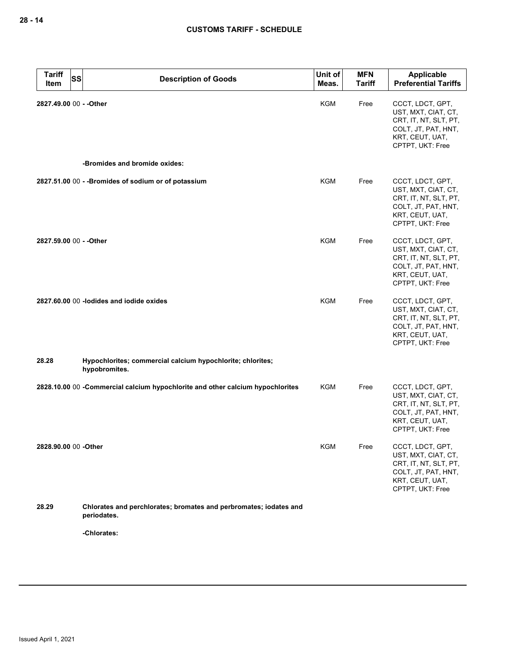| <b>Tariff</b><br><b>SS</b><br>Item | <b>Description of Goods</b>                                                      | Unit of<br>Meas. | <b>MFN</b><br><b>Tariff</b> | <b>Applicable</b><br><b>Preferential Tariffs</b>                                                                               |
|------------------------------------|----------------------------------------------------------------------------------|------------------|-----------------------------|--------------------------------------------------------------------------------------------------------------------------------|
| 2827.49.00 00 - - Other            |                                                                                  | KGM              | Free                        | CCCT, LDCT, GPT,<br>UST, MXT, CIAT, CT,<br>CRT, IT, NT, SLT, PT,<br>COLT, JT, PAT, HNT,<br>KRT, CEUT, UAT,<br>CPTPT, UKT: Free |
|                                    | -Bromides and bromide oxides:                                                    |                  |                             |                                                                                                                                |
|                                    | 2827.51.00 00 - - Bromides of sodium or of potassium                             | KGM              | Free                        | CCCT, LDCT, GPT,<br>UST, MXT, CIAT, CT,<br>CRT, IT, NT, SLT, PT,<br>COLT, JT, PAT, HNT,<br>KRT, CEUT, UAT,<br>CPTPT, UKT: Free |
| 2827.59.00 00 - - Other            |                                                                                  | <b>KGM</b>       | Free                        | CCCT, LDCT, GPT,<br>UST, MXT, CIAT, CT,<br>CRT, IT, NT, SLT, PT,<br>COLT, JT, PAT, HNT,<br>KRT, CEUT, UAT,<br>CPTPT, UKT: Free |
|                                    | 2827.60.00 00 -lodides and iodide oxides                                         | <b>KGM</b>       | Free                        | CCCT, LDCT, GPT,<br>UST, MXT, CIAT, CT,<br>CRT, IT, NT, SLT, PT,<br>COLT, JT, PAT, HNT,<br>KRT, CEUT, UAT,<br>CPTPT, UKT: Free |
| 28.28                              | Hypochlorites; commercial calcium hypochlorite; chlorites;<br>hypobromites.      |                  |                             |                                                                                                                                |
|                                    | 2828.10.00 00 - Commercial calcium hypochlorite and other calcium hypochlorites  | KGM              | Free                        | CCCT, LDCT, GPT,<br>UST, MXT, CIAT, CT,<br>CRT, IT, NT, SLT, PT,<br>COLT, JT, PAT, HNT,<br>KRT, CEUT, UAT,<br>CPTPT, UKT: Free |
| 2828.90.00 00 -Other               |                                                                                  | KGM              | Free                        | CCCT, LDCT, GPT,<br>UST, MXT, CIAT, CT,<br>CRT, IT, NT, SLT, PT,<br>COLT, JT, PAT, HNT,<br>KRT, CEUT, UAT,<br>CPTPT, UKT: Free |
| 28.29                              | Chlorates and perchlorates; bromates and perbromates; iodates and<br>periodates. |                  |                             |                                                                                                                                |
|                                    | -Chlorates:                                                                      |                  |                             |                                                                                                                                |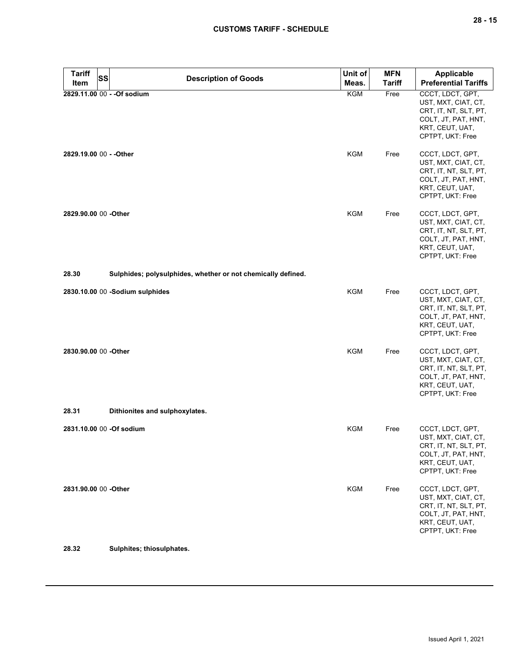| <b>Tariff</b>           | SS<br><b>Description of Goods</b>                            | Unit of    | <b>MFN</b>    | <b>Applicable</b>                                                                                                              |
|-------------------------|--------------------------------------------------------------|------------|---------------|--------------------------------------------------------------------------------------------------------------------------------|
| Item                    |                                                              | Meas.      | <b>Tariff</b> | <b>Preferential Tariffs</b>                                                                                                    |
|                         | 2829.11.00 00 - - Of sodium                                  | <b>KGM</b> | Free          | CCCT, LDCT, GPT,<br>UST, MXT, CIAT, CT,<br>CRT, IT, NT, SLT, PT,<br>COLT, JT, PAT, HNT,<br>KRT, CEUT, UAT,<br>CPTPT, UKT: Free |
| 2829.19.00 00 - - Other |                                                              | KGM        | Free          | CCCT, LDCT, GPT,<br>UST, MXT, CIAT, CT,<br>CRT, IT, NT, SLT, PT,<br>COLT, JT, PAT, HNT,<br>KRT, CEUT, UAT,<br>CPTPT, UKT: Free |
| 2829.90.00 00 -Other    |                                                              | <b>KGM</b> | Free          | CCCT, LDCT, GPT,<br>UST, MXT, CIAT, CT,<br>CRT, IT, NT, SLT, PT,<br>COLT, JT, PAT, HNT,<br>KRT, CEUT, UAT,<br>CPTPT, UKT: Free |
| 28.30                   | Sulphides; polysulphides, whether or not chemically defined. |            |               |                                                                                                                                |
|                         | 2830.10.00 00 -Sodium sulphides                              | KGM        | Free          | CCCT, LDCT, GPT,<br>UST, MXT, CIAT, CT,<br>CRT, IT, NT, SLT, PT,<br>COLT, JT, PAT, HNT,<br>KRT, CEUT, UAT,<br>CPTPT, UKT: Free |
| 2830.90.00 00 -Other    |                                                              | <b>KGM</b> | Free          | CCCT, LDCT, GPT,<br>UST, MXT, CIAT, CT,<br>CRT, IT, NT, SLT, PT,<br>COLT, JT, PAT, HNT,<br>KRT, CEUT, UAT,<br>CPTPT, UKT: Free |
| 28.31                   | Dithionites and sulphoxylates.                               |            |               |                                                                                                                                |
|                         | 2831.10.00 00 -Of sodium                                     | KGM        | Free          | CCCT, LDCT, GPT,<br>UST, MXT, CIAT, CT,<br>CRT, IT, NT, SLT, PT,<br>COLT, JT, PAT, HNT,<br>KRT, CEUT, UAT,<br>CPTPT, UKT: Free |
| 2831.90.00 00 -Other    |                                                              | KGM        | Free          | CCCT, LDCT, GPT,<br>UST, MXT, CIAT, CT,<br>CRT, IT, NT, SLT, PT,<br>COLT, JT, PAT, HNT,<br>KRT, CEUT, UAT,<br>CPTPT, UKT: Free |
| 28.32                   | Sulphites; thiosulphates.                                    |            |               |                                                                                                                                |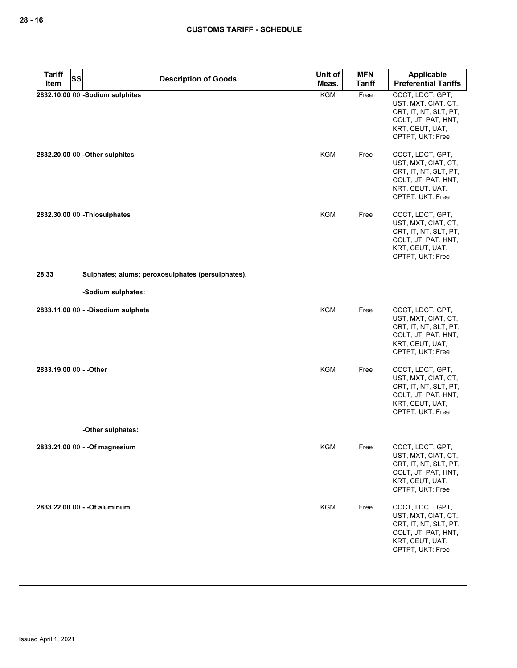| <b>Tariff</b>           | <b>SS</b><br><b>Description of Goods</b> | Unit of                                           | <b>MFN</b> | Applicable    |                                                                                                                                |
|-------------------------|------------------------------------------|---------------------------------------------------|------------|---------------|--------------------------------------------------------------------------------------------------------------------------------|
| Item                    |                                          |                                                   | Meas.      | <b>Tariff</b> | <b>Preferential Tariffs</b>                                                                                                    |
|                         |                                          | 2832.10.00 00 -Sodium sulphites                   | <b>KGM</b> | Free          | CCCT, LDCT, GPT,<br>UST, MXT, CIAT, CT,<br>CRT, IT, NT, SLT, PT,<br>COLT, JT, PAT, HNT,<br>KRT, CEUT, UAT,<br>CPTPT, UKT: Free |
|                         |                                          | 2832.20.00 00 - Other sulphites                   | KGM        | Free          | CCCT, LDCT, GPT,<br>UST, MXT, CIAT, CT,<br>CRT, IT, NT, SLT, PT,<br>COLT, JT, PAT, HNT,<br>KRT, CEUT, UAT,<br>CPTPT, UKT: Free |
|                         |                                          | 2832.30.00 00 - Thiosulphates                     | <b>KGM</b> | Free          | CCCT, LDCT, GPT,<br>UST, MXT, CIAT, CT,<br>CRT, IT, NT, SLT, PT,<br>COLT, JT, PAT, HNT,<br>KRT, CEUT, UAT,<br>CPTPT, UKT: Free |
| 28.33                   |                                          | Sulphates; alums; peroxosulphates (persulphates). |            |               |                                                                                                                                |
|                         |                                          | -Sodium sulphates:                                |            |               |                                                                                                                                |
|                         |                                          | 2833.11.00 00 - - Disodium sulphate               | <b>KGM</b> | Free          | CCCT, LDCT, GPT,<br>UST, MXT, CIAT, CT,<br>CRT, IT, NT, SLT, PT,<br>COLT, JT, PAT, HNT,<br>KRT, CEUT, UAT,<br>CPTPT, UKT: Free |
| 2833.19.00 00 - - Other |                                          |                                                   | KGM        | Free          | CCCT, LDCT, GPT,<br>UST, MXT, CIAT, CT,<br>CRT, IT, NT, SLT, PT,<br>COLT, JT, PAT, HNT,<br>KRT, CEUT, UAT,<br>CPTPT, UKT: Free |
|                         |                                          | -Other sulphates:                                 |            |               |                                                                                                                                |
|                         |                                          | 2833.21.00 00 - - Of magnesium                    | KGM        | Free          | CCCT, LDCT, GPT,<br>UST, MXT, CIAT, CT,<br>CRT, IT, NT, SLT, PT,<br>COLT, JT, PAT, HNT,<br>KRT, CEUT, UAT,<br>CPTPT, UKT: Free |
|                         |                                          | 2833.22.00 00 - - Of aluminum                     | <b>KGM</b> | Free          | CCCT, LDCT, GPT,<br>UST, MXT, CIAT, CT,<br>CRT, IT, NT, SLT, PT,<br>COLT, JT, PAT, HNT,<br>KRT, CEUT, UAT,<br>CPTPT, UKT: Free |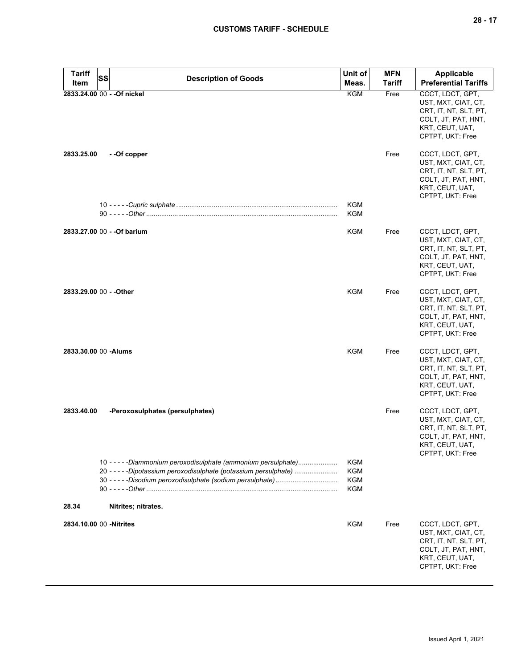| <b>Tariff</b><br>Item | SS<br><b>Description of Goods</b>                                                                                                    | Unit of<br>Meas.                                     | <b>MFN</b><br><b>Tariff</b> | <b>Applicable</b><br><b>Preferential Tariffs</b>                                                                               |
|-----------------------|--------------------------------------------------------------------------------------------------------------------------------------|------------------------------------------------------|-----------------------------|--------------------------------------------------------------------------------------------------------------------------------|
|                       | 2833.24.00 00 - - Of nickel                                                                                                          | <b>KGM</b>                                           | Free                        | CCCT, LDCT, GPT,<br>UST, MXT, CIAT, CT,<br>CRT, IT, NT, SLT, PT,<br>COLT, JT, PAT, HNT,<br>KRT, CEUT, UAT,<br>CPTPT, UKT: Free |
| 2833.25.00            | - -Of copper                                                                                                                         |                                                      | Free                        | CCCT, LDCT, GPT,<br>UST, MXT, CIAT, CT,<br>CRT, IT, NT, SLT, PT,<br>COLT, JT, PAT, HNT,<br>KRT, CEUT, UAT,<br>CPTPT, UKT: Free |
|                       |                                                                                                                                      | KGM<br>KGM                                           |                             |                                                                                                                                |
|                       | 2833.27.00 00 - - Of barium                                                                                                          | KGM                                                  | Free                        | CCCT, LDCT, GPT,<br>UST, MXT, CIAT, CT,<br>CRT, IT, NT, SLT, PT,<br>COLT, JT, PAT, HNT,<br>KRT, CEUT, UAT,<br>CPTPT, UKT: Free |
|                       | 2833.29.00 00 - - Other                                                                                                              | <b>KGM</b>                                           | Free                        | CCCT, LDCT, GPT,<br>UST, MXT, CIAT, CT,<br>CRT, IT, NT, SLT, PT,<br>COLT, JT, PAT, HNT,<br>KRT, CEUT, UAT,<br>CPTPT, UKT: Free |
|                       | 2833.30.00 00 - Alums                                                                                                                | KGM                                                  | Free                        | CCCT, LDCT, GPT,<br>UST, MXT, CIAT, CT,<br>CRT, IT, NT, SLT, PT,<br>COLT, JT, PAT, HNT,<br>KRT, CEUT, UAT,<br>CPTPT, UKT: Free |
| 2833.40.00            | -Peroxosulphates (persulphates)                                                                                                      |                                                      | Free                        | CCCT, LDCT, GPT,<br>UST, MXT, CIAT, CT,<br>CRT, IT, NT, SLT, PT,<br>COLT, JT, PAT, HNT,<br>KRT, CEUT, UAT,<br>CPTPT, UKT: Free |
|                       | 10 - - - - - Diammonium peroxodisulphate (ammonium persulphate)<br>20 - - - - - Dipotassium peroxodisulphate (potassium persulphate) | <b>KGM</b><br><b>KGM</b><br><b>KGM</b><br><b>KGM</b> |                             |                                                                                                                                |
| 28.34                 | Nitrites; nitrates.                                                                                                                  |                                                      |                             |                                                                                                                                |
|                       | 2834.10.00 00 - Nitrites                                                                                                             | KGM                                                  | Free                        | CCCT, LDCT, GPT,<br>UST, MXT, CIAT, CT,<br>CRT, IT, NT, SLT, PT,<br>COLT, JT, PAT, HNT,<br>KRT, CEUT, UAT,<br>CPTPT, UKT: Free |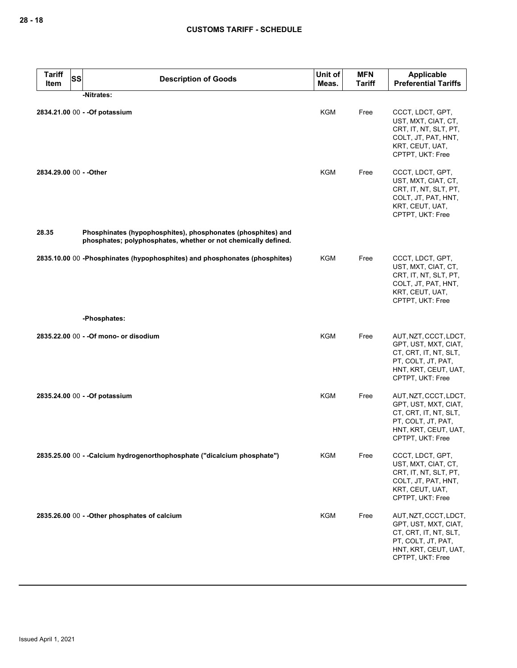| <b>Tariff</b><br>Item   | <b>SS</b> | <b>Description of Goods</b>                                                                                                    | Unit of<br>Meas. | <b>MFN</b><br><b>Tariff</b> | Applicable<br><b>Preferential Tariffs</b>                                                                                                |
|-------------------------|-----------|--------------------------------------------------------------------------------------------------------------------------------|------------------|-----------------------------|------------------------------------------------------------------------------------------------------------------------------------------|
|                         |           | -Nitrates:                                                                                                                     |                  |                             |                                                                                                                                          |
|                         |           | 2834.21.00 00 - - Of potassium                                                                                                 | <b>KGM</b>       | Free                        | CCCT, LDCT, GPT,<br>UST, MXT, CIAT, CT,<br>CRT, IT, NT, SLT, PT,<br>COLT, JT, PAT, HNT,<br>KRT, CEUT, UAT,<br>CPTPT, UKT: Free           |
| 2834.29.00 00 - - Other |           |                                                                                                                                | <b>KGM</b>       | Free                        | CCCT, LDCT, GPT,<br>UST, MXT, CIAT, CT,<br>CRT, IT, NT, SLT, PT,<br>COLT, JT, PAT, HNT,<br>KRT, CEUT, UAT,<br>CPTPT, UKT: Free           |
| 28.35                   |           | Phosphinates (hypophosphites), phosphonates (phosphites) and<br>phosphates; polyphosphates, whether or not chemically defined. |                  |                             |                                                                                                                                          |
|                         |           | 2835.10.00 00 -Phosphinates (hypophosphites) and phosphonates (phosphites)                                                     | KGM              | Free                        | CCCT, LDCT, GPT,<br>UST, MXT, CIAT, CT,<br>CRT, IT, NT, SLT, PT,<br>COLT, JT, PAT, HNT,<br>KRT, CEUT, UAT,<br>CPTPT, UKT: Free           |
|                         |           | -Phosphates:                                                                                                                   |                  |                             |                                                                                                                                          |
|                         |           | 2835.22.00 00 - - Of mono- or disodium                                                                                         | <b>KGM</b>       | Free                        | AUT, NZT, CCCT, LDCT,<br>GPT, UST, MXT, CIAT,<br>CT, CRT, IT, NT, SLT,<br>PT, COLT, JT, PAT,<br>HNT, KRT, CEUT, UAT,<br>CPTPT, UKT: Free |
|                         |           | 2835.24.00 00 - - Of potassium                                                                                                 | <b>KGM</b>       | Free                        | AUT, NZT, CCCT, LDCT,<br>GPT, UST, MXT, CIAT,<br>CT, CRT, IT, NT, SLT,<br>PT, COLT, JT, PAT,<br>HNT, KRT, CEUT, UAT,<br>CPTPT, UKT: Free |
|                         |           | 2835.25.00 00 - - Calcium hydrogenorthophosphate ("dicalcium phosphate")                                                       | <b>KGM</b>       | Free                        | CCCT, LDCT, GPT,<br>UST, MXT, CIAT, CT,<br>CRT, IT, NT, SLT, PT,<br>COLT, JT, PAT, HNT,<br>KRT, CEUT, UAT,<br>CPTPT, UKT: Free           |
|                         |           | 2835.26.00 00 - - Other phosphates of calcium                                                                                  | <b>KGM</b>       | Free                        | AUT, NZT, CCCT, LDCT,<br>GPT, UST, MXT, CIAT,<br>CT, CRT, IT, NT, SLT,<br>PT, COLT, JT, PAT,<br>HNT, KRT, CEUT, UAT,<br>CPTPT, UKT: Free |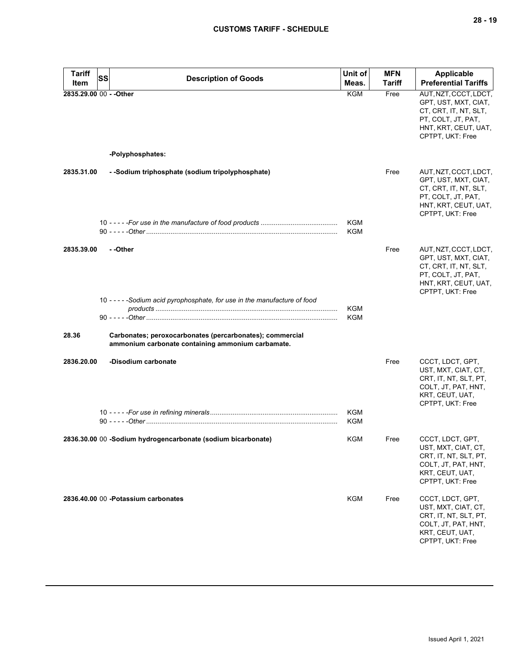| <b>Tariff</b><br>Item   | SS | <b>Description of Goods</b>                                                                                   | Unit of<br>Meas.  | <b>MFN</b><br><b>Tariff</b> | <b>Applicable</b><br><b>Preferential Tariffs</b>                                                                                         |
|-------------------------|----|---------------------------------------------------------------------------------------------------------------|-------------------|-----------------------------|------------------------------------------------------------------------------------------------------------------------------------------|
| 2835.29.00 00 - - Other |    |                                                                                                               | <b>KGM</b>        | Free                        | AUT, NZT, CCCT, LDCT,<br>GPT, UST, MXT, CIAT,<br>CT, CRT, IT, NT, SLT,<br>PT, COLT, JT, PAT,<br>HNT, KRT, CEUT, UAT,<br>CPTPT, UKT: Free |
|                         |    | -Polyphosphates:                                                                                              |                   |                             |                                                                                                                                          |
| 2835.31.00              |    | - -Sodium triphosphate (sodium tripolyphosphate)                                                              |                   | Free                        | AUT, NZT, CCCT, LDCT,<br>GPT, UST, MXT, CIAT,<br>CT, CRT, IT, NT, SLT,<br>PT, COLT, JT, PAT,<br>HNT, KRT, CEUT, UAT,<br>CPTPT, UKT: Free |
|                         |    |                                                                                                               | KGM<br>KGM        |                             |                                                                                                                                          |
| 2835.39.00              |    | - -Other                                                                                                      |                   | Free                        | AUT, NZT, CCCT, LDCT,<br>GPT, UST, MXT, CIAT,<br>CT, CRT, IT, NT, SLT,<br>PT, COLT, JT, PAT,<br>HNT, KRT, CEUT, UAT,<br>CPTPT, UKT: Free |
|                         |    | 10 - - - - - Sodium acid pyrophosphate, for use in the manufacture of food                                    | KGM<br><b>KGM</b> |                             |                                                                                                                                          |
| 28.36                   |    | Carbonates; peroxocarbonates (percarbonates); commercial<br>ammonium carbonate containing ammonium carbamate. |                   |                             |                                                                                                                                          |
| 2836.20.00              |    | -Disodium carbonate                                                                                           |                   | Free                        | CCCT, LDCT, GPT,<br>UST, MXT, CIAT, CT,<br>CRT, IT, NT, SLT, PT,<br>COLT, JT, PAT, HNT,<br>KRT, CEUT, UAT,<br>CPTPT, UKT: Free           |
|                         |    |                                                                                                               | <b>KGM</b><br>KGM |                             |                                                                                                                                          |
|                         |    | 2836.30.00 00 -Sodium hydrogencarbonate (sodium bicarbonate)                                                  | KGM               | Free                        | CCCT, LDCT, GPT,<br>UST, MXT, CIAT, CT,<br>CRT, IT, NT, SLT, PT,<br>COLT, JT, PAT, HNT,<br>KRT, CEUT, UAT,<br>CPTPT, UKT: Free           |
|                         |    | 2836.40.00 00 - Potassium carbonates                                                                          | KGM               | Free                        | CCCT, LDCT, GPT,<br>UST, MXT, CIAT, CT,<br>CRT, IT, NT, SLT, PT,<br>COLT, JT, PAT, HNT,<br>KRT, CEUT, UAT,<br>CPTPT, UKT: Free           |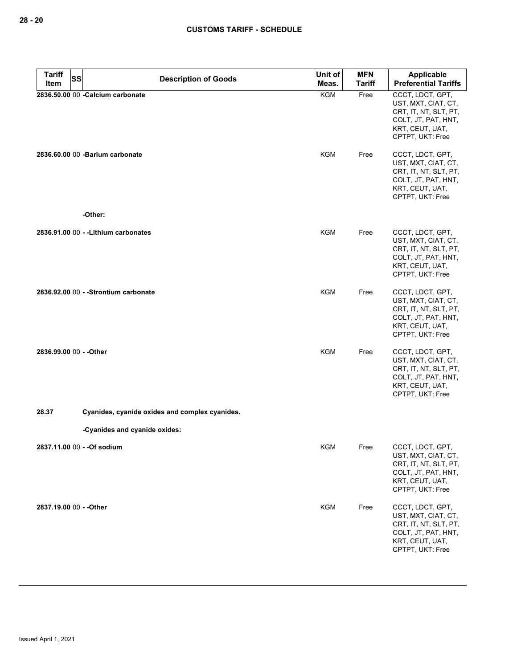| <b>Tariff</b> | SS<br><b>Description of Goods</b>              | Unit of    | <b>MFN</b>    | <b>Applicable</b>                                                                                                              |
|---------------|------------------------------------------------|------------|---------------|--------------------------------------------------------------------------------------------------------------------------------|
| Item          |                                                | Meas.      | <b>Tariff</b> | <b>Preferential Tariffs</b>                                                                                                    |
|               | 2836.50.00 00 - Calcium carbonate              | <b>KGM</b> | Free          | CCCT, LDCT, GPT,<br>UST, MXT, CIAT, CT,<br>CRT, IT, NT, SLT, PT,<br>COLT, JT, PAT, HNT,<br>KRT, CEUT, UAT,<br>CPTPT, UKT: Free |
|               | 2836.60.00 00 -Barium carbonate                | <b>KGM</b> | Free          | CCCT, LDCT, GPT,<br>UST, MXT, CIAT, CT,<br>CRT, IT, NT, SLT, PT,<br>COLT, JT, PAT, HNT,<br>KRT, CEUT, UAT,<br>CPTPT, UKT: Free |
|               | -Other:                                        |            |               |                                                                                                                                |
|               | 2836.91.00 00 - - Lithium carbonates           | KGM        | Free          | CCCT, LDCT, GPT,<br>UST, MXT, CIAT, CT,<br>CRT, IT, NT, SLT, PT,<br>COLT, JT, PAT, HNT,<br>KRT, CEUT, UAT,<br>CPTPT, UKT: Free |
|               | 2836.92.00 00 - - Strontium carbonate          | <b>KGM</b> | Free          | CCCT, LDCT, GPT,<br>UST, MXT, CIAT, CT,<br>CRT, IT, NT, SLT, PT,<br>COLT, JT, PAT, HNT,<br>KRT, CEUT, UAT,<br>CPTPT, UKT: Free |
|               | 2836.99.00 00 - - Other                        | <b>KGM</b> | Free          | CCCT, LDCT, GPT,<br>UST, MXT, CIAT, CT,<br>CRT, IT, NT, SLT, PT,<br>COLT, JT, PAT, HNT,<br>KRT, CEUT, UAT,<br>CPTPT, UKT: Free |
| 28.37         | Cyanides, cyanide oxides and complex cyanides. |            |               |                                                                                                                                |
|               | -Cyanides and cyanide oxides:                  |            |               |                                                                                                                                |
|               | 2837.11.00 00 - - Of sodium                    | KGM        | Free          | CCCT, LDCT, GPT,<br>UST, MXT, CIAT, CT,<br>CRT, IT, NT, SLT, PT,<br>COLT, JT, PAT, HNT,<br>KRT, CEUT, UAT,<br>CPTPT, UKT: Free |
|               | 2837.19.00 00 - - Other                        | <b>KGM</b> | Free          | CCCT, LDCT, GPT,<br>UST, MXT, CIAT, CT,<br>CRT, IT, NT, SLT, PT,<br>COLT, JT, PAT, HNT,<br>KRT, CEUT, UAT,<br>CPTPT, UKT: Free |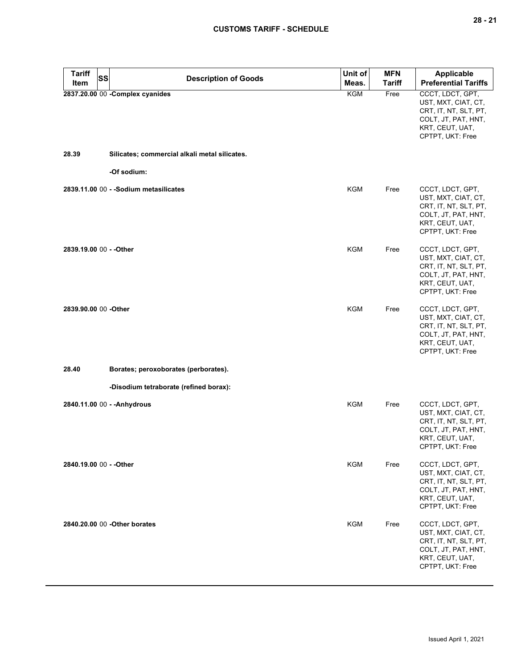| <b>Tariff</b><br><b>SS</b> | <b>Description of Goods</b>                   | Unit of    | <b>MFN</b>    | <b>Applicable</b>                                                                                                              |
|----------------------------|-----------------------------------------------|------------|---------------|--------------------------------------------------------------------------------------------------------------------------------|
| Item                       |                                               | Meas.      | <b>Tariff</b> | <b>Preferential Tariffs</b>                                                                                                    |
|                            | 2837.20.00 00 - Complex cyanides              | <b>KGM</b> | Free          | CCCT, LDCT, GPT,<br>UST, MXT, CIAT, CT,<br>CRT, IT, NT, SLT, PT,<br>COLT, JT, PAT, HNT,<br>KRT, CEUT, UAT,<br>CPTPT, UKT: Free |
| 28.39                      | Silicates; commercial alkali metal silicates. |            |               |                                                                                                                                |
|                            | -Of sodium:                                   |            |               |                                                                                                                                |
|                            | 2839.11.00 00 - - Sodium metasilicates        | KGM        | Free          | CCCT, LDCT, GPT,<br>UST, MXT, CIAT, CT,<br>CRT, IT, NT, SLT, PT,<br>COLT, JT, PAT, HNT,<br>KRT, CEUT, UAT,<br>CPTPT, UKT: Free |
| 2839.19.00 00 - - Other    |                                               | KGM        | Free          | CCCT, LDCT, GPT,<br>UST, MXT, CIAT, CT,<br>CRT, IT, NT, SLT, PT,<br>COLT, JT, PAT, HNT,<br>KRT, CEUT, UAT,<br>CPTPT, UKT: Free |
| 2839.90.00 00 - Other      |                                               | <b>KGM</b> | Free          | CCCT, LDCT, GPT,<br>UST, MXT, CIAT, CT,<br>CRT, IT, NT, SLT, PT,<br>COLT, JT, PAT, HNT,<br>KRT, CEUT, UAT,<br>CPTPT, UKT: Free |
| 28.40                      | Borates; peroxoborates (perborates).          |            |               |                                                                                                                                |
|                            | -Disodium tetraborate (refined borax):        |            |               |                                                                                                                                |
|                            | 2840.11.00 00 - - Anhydrous                   | KGM        | Free          | CCCT, LDCT, GPT,<br>UST, MXT, CIAT, CT,<br>CRT, IT, NT, SLT, PT,<br>COLT, JT, PAT, HNT,<br>KRT, CEUT, UAT,<br>CPTPT, UKT: Free |
| 2840.19.00 00 - - Other    |                                               | <b>KGM</b> | Free          | CCCT, LDCT, GPT,<br>UST, MXT, CIAT, CT,<br>CRT, IT, NT, SLT, PT,<br>COLT, JT, PAT, HNT,<br>KRT, CEUT, UAT,<br>CPTPT, UKT: Free |
|                            | 2840.20.00 00 - Other borates                 | <b>KGM</b> | Free          | CCCT, LDCT, GPT,<br>UST, MXT, CIAT, CT,<br>CRT, IT, NT, SLT, PT,<br>COLT, JT, PAT, HNT,<br>KRT, CEUT, UAT,<br>CPTPT, UKT: Free |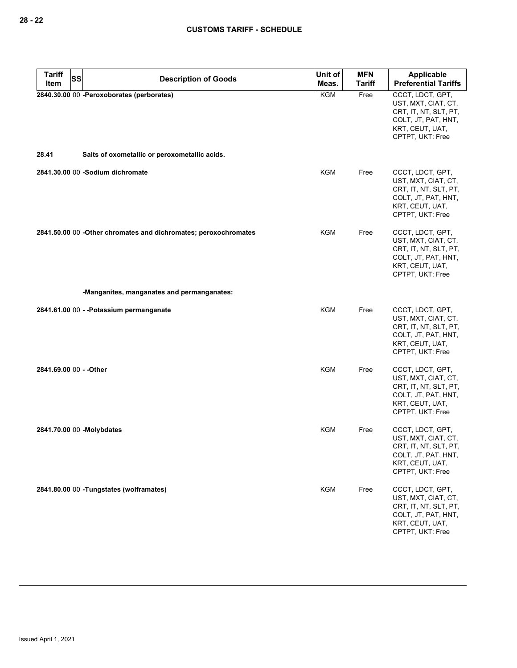| <b>Tariff</b><br><b>SS</b> | <b>Description of Goods</b>                                                                | Unit of    | <b>MFN</b>    | <b>Applicable</b>                                                                                                              |
|----------------------------|--------------------------------------------------------------------------------------------|------------|---------------|--------------------------------------------------------------------------------------------------------------------------------|
| Item                       |                                                                                            | Meas.      | <b>Tariff</b> | <b>Preferential Tariffs</b>                                                                                                    |
| 28.41                      | 2840.30.00 00 -Peroxoborates (perborates)<br>Salts of oxometallic or peroxometallic acids. | <b>KGM</b> | Free          | CCCT, LDCT, GPT,<br>UST, MXT, CIAT, CT,<br>CRT, IT, NT, SLT, PT,<br>COLT, JT, PAT, HNT,<br>KRT, CEUT, UAT,<br>CPTPT, UKT: Free |
|                            |                                                                                            |            |               |                                                                                                                                |
|                            | 2841.30.00 00 -Sodium dichromate                                                           | <b>KGM</b> | Free          | CCCT, LDCT, GPT,<br>UST, MXT, CIAT, CT,<br>CRT, IT, NT, SLT, PT,<br>COLT, JT, PAT, HNT,<br>KRT, CEUT, UAT,<br>CPTPT, UKT: Free |
|                            | 2841.50.00 00 -Other chromates and dichromates; peroxochromates                            | KGM        | Free          | CCCT, LDCT, GPT,<br>UST, MXT, CIAT, CT,<br>CRT, IT, NT, SLT, PT,<br>COLT, JT, PAT, HNT,<br>KRT, CEUT, UAT,<br>CPTPT, UKT: Free |
|                            | -Manganites, manganates and permanganates:                                                 |            |               |                                                                                                                                |
|                            | 2841.61.00 00 - -Potassium permanganate                                                    | KGM        | Free          | CCCT, LDCT, GPT,<br>UST, MXT, CIAT, CT,<br>CRT, IT, NT, SLT, PT,<br>COLT, JT, PAT, HNT,<br>KRT, CEUT, UAT,<br>CPTPT, UKT: Free |
| 2841.69.00 00 - - Other    |                                                                                            | <b>KGM</b> | Free          | CCCT, LDCT, GPT,<br>UST, MXT, CIAT, CT,<br>CRT, IT, NT, SLT, PT,<br>COLT, JT, PAT, HNT,<br>KRT, CEUT, UAT,<br>CPTPT, UKT: Free |
|                            | 2841.70.00 00 -Molybdates                                                                  | KGM        | Free          | CCCT, LDCT, GPT,<br>UST, MXT, CIAT, CT,<br>CRT, IT, NT, SLT, PT,<br>COLT, JT, PAT, HNT,<br>KRT, CEUT, UAT,<br>CPTPT, UKT: Free |
|                            | 2841.80.00 00 - Tungstates (wolframates)                                                   | <b>KGM</b> | Free          | CCCT, LDCT, GPT,<br>UST, MXT, CIAT, CT,<br>CRT, IT, NT, SLT, PT,<br>COLT, JT, PAT, HNT,<br>KRT, CEUT, UAT,<br>CPTPT, UKT: Free |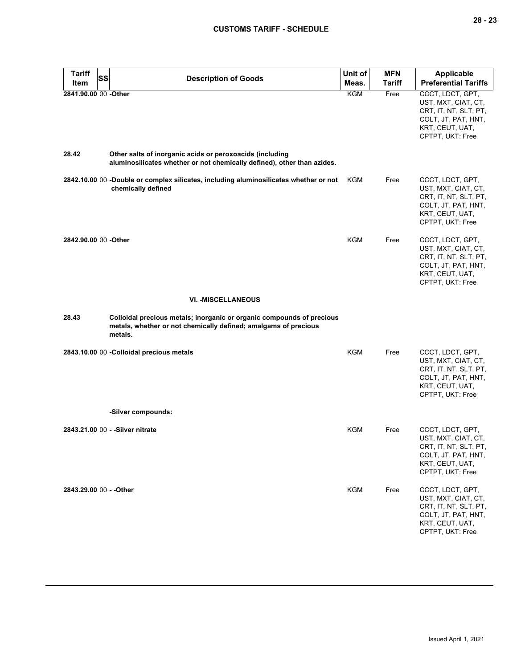| <b>Tariff</b><br>SS     | <b>Description of Goods</b>                                                                                                                         | Unit of    | <b>MFN</b> | Applicable                                                                                                                     |
|-------------------------|-----------------------------------------------------------------------------------------------------------------------------------------------------|------------|------------|--------------------------------------------------------------------------------------------------------------------------------|
| Item                    |                                                                                                                                                     | Meas.      | Tariff     | <b>Preferential Tariffs</b>                                                                                                    |
| 2841.90.00 00 -Other    |                                                                                                                                                     | <b>KGM</b> | Free       | CCCT, LDCT, GPT,<br>UST, MXT, CIAT, CT,<br>CRT, IT, NT, SLT, PT,<br>COLT, JT, PAT, HNT,<br>KRT, CEUT, UAT,<br>CPTPT, UKT: Free |
| 28.42                   | Other salts of inorganic acids or peroxoacids (including<br>aluminosilicates whether or not chemically defined), other than azides.                 |            |            |                                                                                                                                |
|                         | 2842.10.00 00 -Double or complex silicates, including aluminosilicates whether or not<br>chemically defined                                         | KGM        | Free       | CCCT, LDCT, GPT,<br>UST, MXT, CIAT, CT,<br>CRT, IT, NT, SLT, PT,<br>COLT, JT, PAT, HNT,<br>KRT, CEUT, UAT,<br>CPTPT, UKT: Free |
| 2842.90.00 00 -Other    |                                                                                                                                                     | <b>KGM</b> | Free       | CCCT, LDCT, GPT,<br>UST, MXT, CIAT, CT,<br>CRT, IT, NT, SLT, PT,<br>COLT, JT, PAT, HNT,<br>KRT, CEUT, UAT,<br>CPTPT, UKT: Free |
|                         | <b>VI. -MISCELLANEOUS</b>                                                                                                                           |            |            |                                                                                                                                |
| 28.43                   | Colloidal precious metals; inorganic or organic compounds of precious<br>metals, whether or not chemically defined; amalgams of precious<br>metals. |            |            |                                                                                                                                |
|                         | 2843.10.00 00 - Colloidal precious metals                                                                                                           | <b>KGM</b> | Free       | CCCT, LDCT, GPT,<br>UST, MXT, CIAT, CT,<br>CRT, IT, NT, SLT, PT,<br>COLT, JT, PAT, HNT,<br>KRT, CEUT, UAT,<br>CPTPT, UKT: Free |
|                         | -Silver compounds:                                                                                                                                  |            |            |                                                                                                                                |
|                         | 2843.21.00 00 - - Silver nitrate                                                                                                                    | <b>KGM</b> | Free       | CCCT, LDCT, GPT,<br>UST, MXT, CIAT, CT,<br>CRT, IT, NT, SLT, PT,<br>COLT, JT, PAT, HNT,<br>KRT, CEUT, UAT,<br>CPTPT, UKT: Free |
| 2843.29.00 00 - - Other |                                                                                                                                                     | <b>KGM</b> | Free       | CCCT, LDCT, GPT,<br>UST, MXT, CIAT, CT,<br>CRT, IT, NT, SLT, PT,<br>COLT, JT, PAT, HNT,<br>KRT, CEUT, UAT,<br>CPTPT, UKT: Free |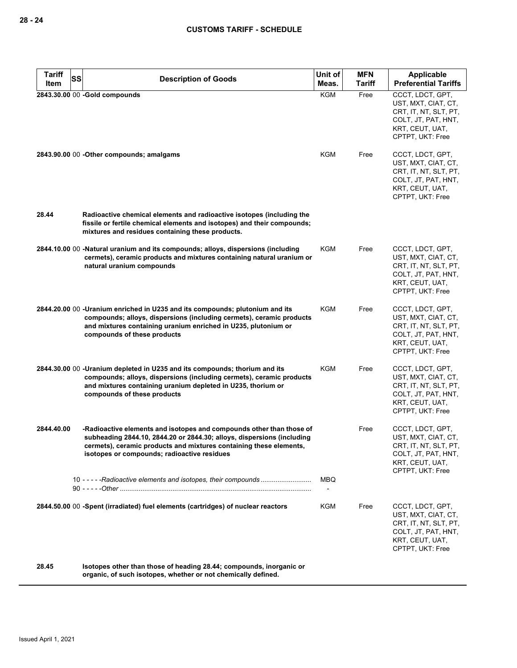| <b>Tariff</b><br>Item | SS | <b>Description of Goods</b>                                                                                                                                                                                                                                         | Unit of<br>Meas. | <b>MFN</b><br>Tariff | <b>Applicable</b><br><b>Preferential Tariffs</b>                                                                               |
|-----------------------|----|---------------------------------------------------------------------------------------------------------------------------------------------------------------------------------------------------------------------------------------------------------------------|------------------|----------------------|--------------------------------------------------------------------------------------------------------------------------------|
|                       |    | 2843.30.00 00 -Gold compounds                                                                                                                                                                                                                                       | <b>KGM</b>       | Free                 | CCCT, LDCT, GPT,                                                                                                               |
|                       |    | 2843.90.00 00 - Other compounds; amalgams                                                                                                                                                                                                                           | KGM              | Free                 | UST, MXT, CIAT, CT,<br>CRT, IT, NT, SLT, PT,<br>COLT, JT, PAT, HNT,<br>KRT, CEUT, UAT,<br>CPTPT, UKT: Free<br>CCCT, LDCT, GPT, |
|                       |    |                                                                                                                                                                                                                                                                     |                  |                      | UST, MXT, CIAT, CT,<br>CRT, IT, NT, SLT, PT,<br>COLT, JT, PAT, HNT,<br>KRT, CEUT, UAT,<br>CPTPT, UKT: Free                     |
| 28.44                 |    | Radioactive chemical elements and radioactive isotopes (including the<br>fissile or fertile chemical elements and isotopes) and their compounds;<br>mixtures and residues containing these products.                                                                |                  |                      |                                                                                                                                |
|                       |    | 2844.10.00 00 -Natural uranium and its compounds; alloys, dispersions (including<br>cermets), ceramic products and mixtures containing natural uranium or<br>natural uranium compounds                                                                              | <b>KGM</b>       | Free                 | CCCT, LDCT, GPT,<br>UST, MXT, CIAT, CT,<br>CRT, IT, NT, SLT, PT,<br>COLT, JT, PAT, HNT,<br>KRT, CEUT, UAT,<br>CPTPT, UKT: Free |
|                       |    | 2844.20.00 00 -Uranium enriched in U235 and its compounds; plutonium and its<br>compounds; alloys, dispersions (including cermets), ceramic products<br>and mixtures containing uranium enriched in U235, plutonium or<br>compounds of these products               | KGM              | Free                 | CCCT, LDCT, GPT,<br>UST, MXT, CIAT, CT,<br>CRT, IT, NT, SLT, PT,<br>COLT, JT, PAT, HNT,<br>KRT, CEUT, UAT,<br>CPTPT, UKT: Free |
|                       |    | 2844.30.00 00 -Uranium depleted in U235 and its compounds; thorium and its<br>compounds; alloys, dispersions (including cermets), ceramic products<br>and mixtures containing uranium depleted in U235, thorium or<br>compounds of these products                   | KGM              | Free                 | CCCT, LDCT, GPT,<br>UST, MXT, CIAT, CT,<br>CRT, IT, NT, SLT, PT,<br>COLT, JT, PAT, HNT,<br>KRT, CEUT, UAT,<br>CPTPT, UKT: Free |
| 2844.40.00            |    | -Radioactive elements and isotopes and compounds other than those of<br>subheading 2844.10, 2844.20 or 2844.30; alloys, dispersions (including<br>cermets), ceramic products and mixtures containing these elements,<br>isotopes or compounds; radioactive residues |                  | Free                 | CCCT, LDCT, GPT,<br>UST, MXT, CIAT, CT,<br>CRT, IT, NT, SLT, PT,<br>COLT, JT, PAT, HNT,<br>KRT, CEUT, UAT,<br>CPTPT, UKT: Free |
|                       |    |                                                                                                                                                                                                                                                                     | MBQ              |                      |                                                                                                                                |
|                       |    | 2844.50.00 00 -Spent (irradiated) fuel elements (cartridges) of nuclear reactors                                                                                                                                                                                    | KGM              | Free                 | CCCT, LDCT, GPT,<br>UST, MXT, CIAT, CT,<br>CRT, IT, NT, SLT, PT,<br>COLT, JT, PAT, HNT,<br>KRT, CEUT, UAT,<br>CPTPT, UKT: Free |
| 28.45                 |    | Isotopes other than those of heading 28.44; compounds, inorganic or<br>organic, of such isotopes, whether or not chemically defined.                                                                                                                                |                  |                      |                                                                                                                                |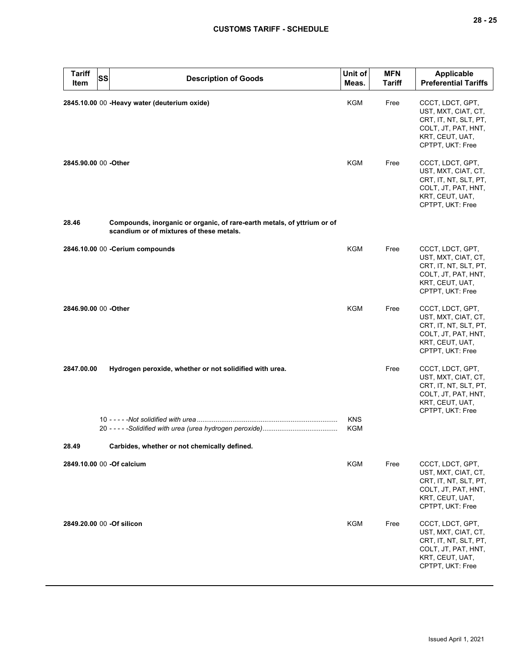| <b>Tariff</b><br>ltem     | <b>SS</b> | <b>Description of Goods</b>                                                                                         | Unit of<br>Meas.  | <b>MFN</b><br>Tariff | <b>Applicable</b><br><b>Preferential Tariffs</b>                                                                               |
|---------------------------|-----------|---------------------------------------------------------------------------------------------------------------------|-------------------|----------------------|--------------------------------------------------------------------------------------------------------------------------------|
|                           |           | 2845.10.00 00 - Heavy water (deuterium oxide)                                                                       | KGM               | Free                 | CCCT, LDCT, GPT,<br>UST, MXT, CIAT, CT,<br>CRT, IT, NT, SLT, PT,<br>COLT, JT, PAT, HNT,<br>KRT, CEUT, UAT,<br>CPTPT, UKT: Free |
| 2845.90.00 00 -Other      |           |                                                                                                                     | KGM               | Free                 | CCCT, LDCT, GPT,<br>UST, MXT, CIAT, CT,<br>CRT, IT, NT, SLT, PT,<br>COLT, JT, PAT, HNT,<br>KRT, CEUT, UAT,<br>CPTPT, UKT: Free |
| 28.46                     |           | Compounds, inorganic or organic, of rare-earth metals, of yttrium or of<br>scandium or of mixtures of these metals. |                   |                      |                                                                                                                                |
|                           |           | 2846.10.00 00 -Cerium compounds                                                                                     | <b>KGM</b>        | Free                 | CCCT, LDCT, GPT,<br>UST, MXT, CIAT, CT,<br>CRT, IT, NT, SLT, PT,<br>COLT, JT, PAT, HNT,<br>KRT, CEUT, UAT,<br>CPTPT, UKT: Free |
| 2846.90.00 00 -Other      |           |                                                                                                                     | <b>KGM</b>        | Free                 | CCCT, LDCT, GPT,<br>UST, MXT, CIAT, CT,<br>CRT, IT, NT, SLT, PT,<br>COLT, JT, PAT, HNT,<br>KRT, CEUT, UAT,<br>CPTPT, UKT: Free |
| 2847.00.00                |           | Hydrogen peroxide, whether or not solidified with urea.                                                             |                   | Free                 | CCCT, LDCT, GPT,<br>UST, MXT, CIAT, CT,<br>CRT, IT, NT, SLT, PT,<br>COLT, JT, PAT, HNT,<br>KRT, CEUT, UAT,<br>CPTPT, UKT: Free |
|                           |           |                                                                                                                     | <b>KNS</b><br>KGM |                      |                                                                                                                                |
| 28.49                     |           | Carbides, whether or not chemically defined.                                                                        |                   |                      |                                                                                                                                |
|                           |           | 2849.10.00 00 -Of calcium                                                                                           | KGM               | Free                 | CCCT, LDCT, GPT,<br>UST, MXT, CIAT, CT,<br>CRT, IT, NT, SLT, PT,<br>COLT, JT, PAT, HNT,<br>KRT, CEUT, UAT,<br>CPTPT, UKT: Free |
| 2849.20.00 00 -Of silicon |           |                                                                                                                     | KGM               | Free                 | CCCT, LDCT, GPT,<br>UST, MXT, CIAT, CT,<br>CRT, IT, NT, SLT, PT,<br>COLT, JT, PAT, HNT,<br>KRT, CEUT, UAT,<br>CPTPT, UKT: Free |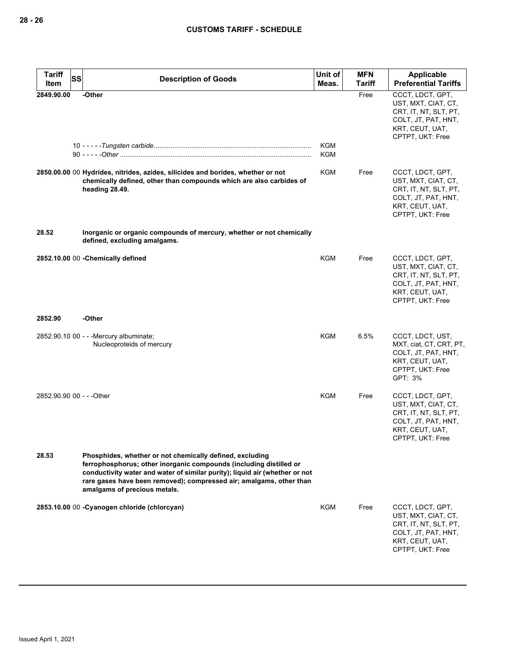| <b>Tariff</b><br>Item     | <b>SS</b> | <b>Description of Goods</b>                                                                                                                                                                                                                                                                                          | Unit of<br>Meas.  | <b>MFN</b><br><b>Tariff</b> | Applicable<br><b>Preferential Tariffs</b>                                                                                      |
|---------------------------|-----------|----------------------------------------------------------------------------------------------------------------------------------------------------------------------------------------------------------------------------------------------------------------------------------------------------------------------|-------------------|-----------------------------|--------------------------------------------------------------------------------------------------------------------------------|
| 2849.90.00                |           | -Other                                                                                                                                                                                                                                                                                                               | KGM<br><b>KGM</b> | Free                        | CCCT, LDCT, GPT,<br>UST, MXT, CIAT, CT,<br>CRT, IT, NT, SLT, PT,<br>COLT, JT, PAT, HNT,<br>KRT, CEUT, UAT,<br>CPTPT, UKT: Free |
|                           |           | 2850.00.00 00 Hydrides, nitrides, azides, silicides and borides, whether or not<br>chemically defined, other than compounds which are also carbides of<br>heading 28.49.                                                                                                                                             | KGM               | Free                        | CCCT, LDCT, GPT,<br>UST, MXT, CIAT, CT,<br>CRT, IT, NT, SLT, PT,<br>COLT, JT, PAT, HNT,<br>KRT, CEUT, UAT,<br>CPTPT, UKT: Free |
| 28.52                     |           | Inorganic or organic compounds of mercury, whether or not chemically<br>defined, excluding amalgams.                                                                                                                                                                                                                 |                   |                             |                                                                                                                                |
|                           |           | 2852.10.00 00 - Chemically defined                                                                                                                                                                                                                                                                                   | <b>KGM</b>        | Free                        | CCCT, LDCT, GPT,<br>UST, MXT, CIAT, CT,<br>CRT, IT, NT, SLT, PT,<br>COLT, JT, PAT, HNT,<br>KRT, CEUT, UAT,<br>CPTPT, UKT: Free |
| 2852.90                   |           | -Other                                                                                                                                                                                                                                                                                                               |                   |                             |                                                                                                                                |
|                           |           | 2852.90.10 00 - - - Mercury albuminate;<br>Nucleoproteids of mercury                                                                                                                                                                                                                                                 | KGM               | 6.5%                        | CCCT, LDCT, UST,<br>MXT, ciat, CT, CRT, PT,<br>COLT, JT, PAT, HNT,<br>KRT, CEUT, UAT,<br>CPTPT, UKT: Free<br>GPT: 3%           |
| 2852.90.90 00 - - - Other |           |                                                                                                                                                                                                                                                                                                                      | KGM               | Free                        | CCCT, LDCT, GPT,<br>UST, MXT, CIAT, CT,<br>CRT, IT, NT, SLT, PT,<br>COLT, JT, PAT, HNT,<br>KRT, CEUT, UAT,<br>CPTPT, UKT: Free |
| 28.53                     |           | Phosphides, whether or not chemically defined, excluding<br>ferrophosphorus; other inorganic compounds (including distilled or<br>conductivity water and water of similar purity); liquid air (whether or not<br>rare gases have been removed); compressed air; amalgams, other than<br>amalgams of precious metals. |                   |                             |                                                                                                                                |
|                           |           | 2853.10.00 00 - Cyanogen chloride (chlorcyan)                                                                                                                                                                                                                                                                        | KGM               | Free                        | CCCT, LDCT, GPT,<br>UST, MXT, CIAT, CT,<br>CRT, IT, NT, SLT, PT,<br>COLT, JT, PAT, HNT,<br>KRT, CEUT, UAT,<br>CPTPT, UKT: Free |